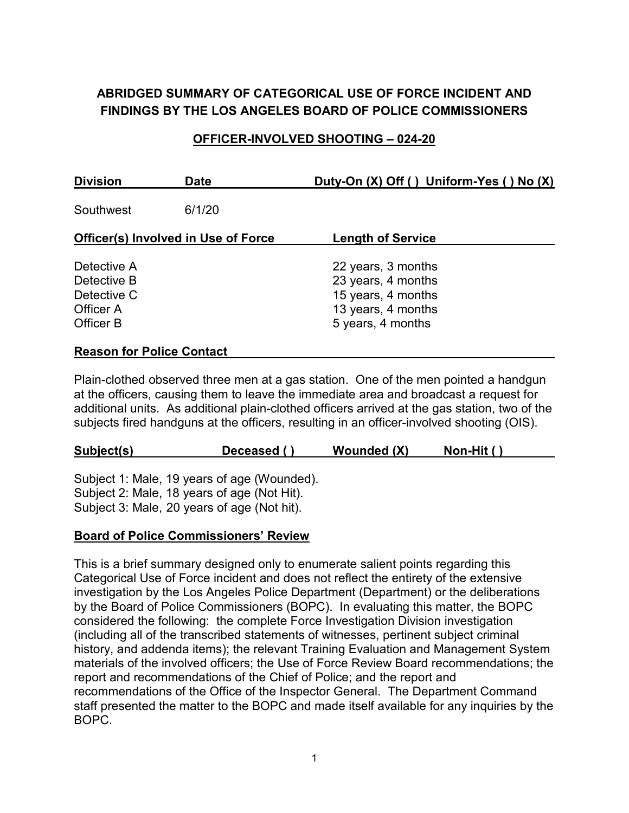# **ABRIDGED SUMMARY OF CATEGORICAL USE OF FORCE INCIDENT AND FINDINGS BY THE LOS ANGELES BOARD OF POLICE COMMISSIONERS**

#### **OFFICER-INVOLVED SHOOTING – 024-20**

| <b>Division</b>                                                     | <b>Date</b> | Duty-On (X) Off () Uniform-Yes () No (X)                                                                  |
|---------------------------------------------------------------------|-------------|-----------------------------------------------------------------------------------------------------------|
| Southwest                                                           | 6/1/20      |                                                                                                           |
| <b>Officer(s) Involved in Use of Force</b>                          |             | <b>Length of Service</b>                                                                                  |
| Detective A<br>Detective B<br>Detective C<br>Officer A<br>Officer B |             | 22 years, 3 months<br>23 years, 4 months<br>15 years, 4 months<br>13 years, 4 months<br>5 years, 4 months |
| <b>Reason for Police Contact</b>                                    |             |                                                                                                           |

Plain-clothed observed three men at a gas station. One of the men pointed a handgun at the officers, causing them to leave the immediate area and broadcast a request for additional units. As additional plain-clothed officers arrived at the gas station, two of the subjects fired handguns at the officers, resulting in an officer-involved shooting (OIS).

| Subject(s) | Deceased () | Wounded (X) | Non-Hit () |
|------------|-------------|-------------|------------|
|            |             |             |            |

Subject 1: Male, 19 years of age (Wounded). Subject 2: Male, 18 years of age (Not Hit). Subject 3: Male, 20 years of age (Not hit).

#### **Board of Police Commissioners' Review**

This is a brief summary designed only to enumerate salient points regarding this Categorical Use of Force incident and does not reflect the entirety of the extensive investigation by the Los Angeles Police Department (Department) or the deliberations by the Board of Police Commissioners (BOPC). In evaluating this matter, the BOPC considered the following: the complete Force Investigation Division investigation (including all of the transcribed statements of witnesses, pertinent subject criminal history, and addenda items); the relevant Training Evaluation and Management System materials of the involved officers; the Use of Force Review Board recommendations; the report and recommendations of the Chief of Police; and the report and recommendations of the Office of the Inspector General. The Department Command staff presented the matter to the BOPC and made itself available for any inquiries by the BOPC.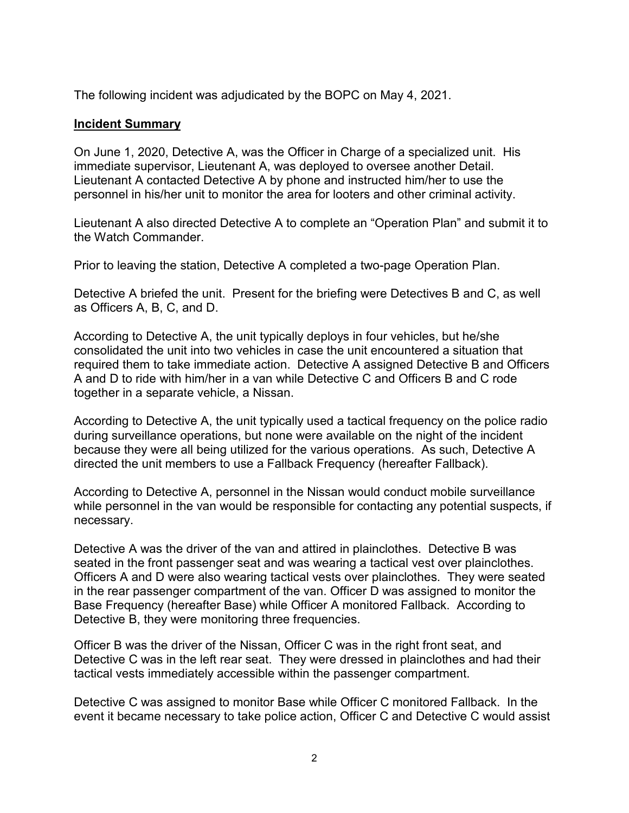The following incident was adjudicated by the BOPC on May 4, 2021.

#### **Incident Summary**

On June 1, 2020, Detective A, was the Officer in Charge of a specialized unit. His immediate supervisor, Lieutenant A, was deployed to oversee another Detail. Lieutenant A contacted Detective A by phone and instructed him/her to use the personnel in his/her unit to monitor the area for looters and other criminal activity.

Lieutenant A also directed Detective A to complete an "Operation Plan" and submit it to the Watch Commander.

Prior to leaving the station, Detective A completed a two-page Operation Plan.

Detective A briefed the unit. Present for the briefing were Detectives B and C, as well as Officers A, B, C, and D.

According to Detective A, the unit typically deploys in four vehicles, but he/she consolidated the unit into two vehicles in case the unit encountered a situation that required them to take immediate action. Detective A assigned Detective B and Officers A and D to ride with him/her in a van while Detective C and Officers B and C rode together in a separate vehicle, a Nissan.

According to Detective A, the unit typically used a tactical frequency on the police radio during surveillance operations, but none were available on the night of the incident because they were all being utilized for the various operations. As such, Detective A directed the unit members to use a Fallback Frequency (hereafter Fallback).

According to Detective A, personnel in the Nissan would conduct mobile surveillance while personnel in the van would be responsible for contacting any potential suspects, if necessary.

Detective A was the driver of the van and attired in plainclothes. Detective B was seated in the front passenger seat and was wearing a tactical vest over plainclothes. Officers A and D were also wearing tactical vests over plainclothes. They were seated in the rear passenger compartment of the van. Officer D was assigned to monitor the Base Frequency (hereafter Base) while Officer A monitored Fallback. According to Detective B, they were monitoring three frequencies.

Officer B was the driver of the Nissan, Officer C was in the right front seat, and Detective C was in the left rear seat. They were dressed in plainclothes and had their tactical vests immediately accessible within the passenger compartment.

Detective C was assigned to monitor Base while Officer C monitored Fallback. In the event it became necessary to take police action, Officer C and Detective C would assist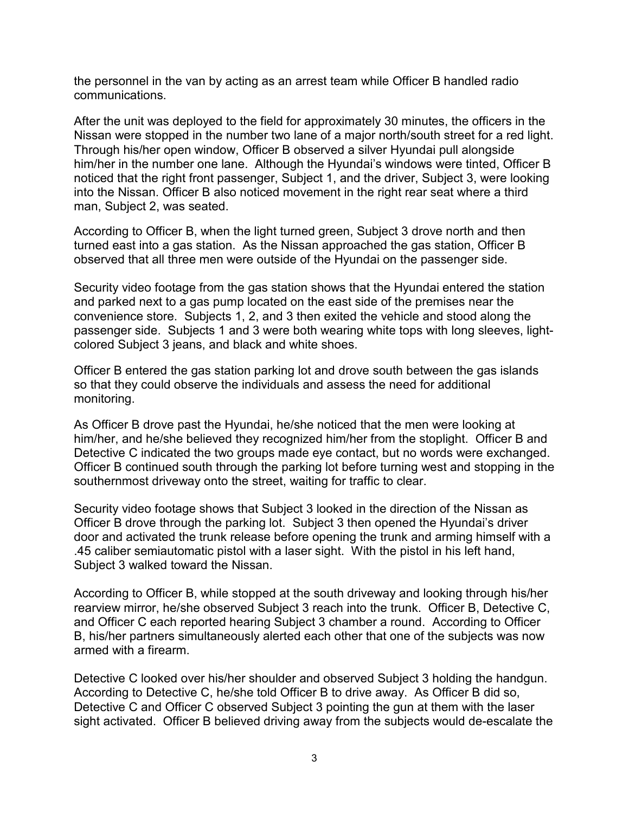the personnel in the van by acting as an arrest team while Officer B handled radio communications.

After the unit was deployed to the field for approximately 30 minutes, the officers in the Nissan were stopped in the number two lane of a major north/south street for a red light. Through his/her open window, Officer B observed a silver Hyundai pull alongside him/her in the number one lane. Although the Hyundai's windows were tinted, Officer B noticed that the right front passenger, Subject 1, and the driver, Subject 3, were looking into the Nissan. Officer B also noticed movement in the right rear seat where a third man, Subject 2, was seated.

According to Officer B, when the light turned green, Subject 3 drove north and then turned east into a gas station. As the Nissan approached the gas station, Officer B observed that all three men were outside of the Hyundai on the passenger side.

Security video footage from the gas station shows that the Hyundai entered the station and parked next to a gas pump located on the east side of the premises near the convenience store. Subjects 1, 2, and 3 then exited the vehicle and stood along the passenger side. Subjects 1 and 3 were both wearing white tops with long sleeves, lightcolored Subject 3 jeans, and black and white shoes.

Officer B entered the gas station parking lot and drove south between the gas islands so that they could observe the individuals and assess the need for additional monitoring.

As Officer B drove past the Hyundai, he/she noticed that the men were looking at him/her, and he/she believed they recognized him/her from the stoplight. Officer B and Detective C indicated the two groups made eye contact, but no words were exchanged. Officer B continued south through the parking lot before turning west and stopping in the southernmost driveway onto the street, waiting for traffic to clear.

Security video footage shows that Subject 3 looked in the direction of the Nissan as Officer B drove through the parking lot. Subject 3 then opened the Hyundai's driver door and activated the trunk release before opening the trunk and arming himself with a .45 caliber semiautomatic pistol with a laser sight. With the pistol in his left hand, Subject 3 walked toward the Nissan.

According to Officer B, while stopped at the south driveway and looking through his/her rearview mirror, he/she observed Subject 3 reach into the trunk. Officer B, Detective C, and Officer C each reported hearing Subject 3 chamber a round. According to Officer B, his/her partners simultaneously alerted each other that one of the subjects was now armed with a firearm.

Detective C looked over his/her shoulder and observed Subject 3 holding the handgun. According to Detective C, he/she told Officer B to drive away. As Officer B did so, Detective C and Officer C observed Subject 3 pointing the gun at them with the laser sight activated. Officer B believed driving away from the subjects would de-escalate the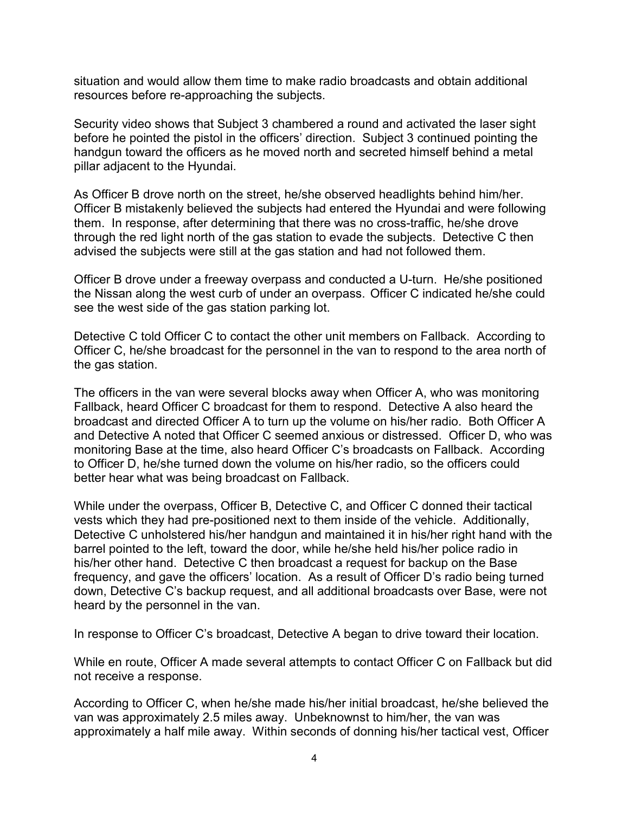situation and would allow them time to make radio broadcasts and obtain additional resources before re-approaching the subjects.

Security video shows that Subject 3 chambered a round and activated the laser sight before he pointed the pistol in the officers' direction. Subject 3 continued pointing the handgun toward the officers as he moved north and secreted himself behind a metal pillar adjacent to the Hyundai.

As Officer B drove north on the street, he/she observed headlights behind him/her. Officer B mistakenly believed the subjects had entered the Hyundai and were following them. In response, after determining that there was no cross-traffic, he/she drove through the red light north of the gas station to evade the subjects. Detective C then advised the subjects were still at the gas station and had not followed them.

Officer B drove under a freeway overpass and conducted a U-turn. He/she positioned the Nissan along the west curb of under an overpass.Officer C indicated he/she could see the west side of the gas station parking lot.

Detective C told Officer C to contact the other unit members on Fallback. According to Officer C, he/she broadcast for the personnel in the van to respond to the area north of the gas station.

The officers in the van were several blocks away when Officer A, who was monitoring Fallback, heard Officer C broadcast for them to respond. Detective A also heard the broadcast and directed Officer A to turn up the volume on his/her radio. Both Officer A and Detective A noted that Officer C seemed anxious or distressed. Officer D, who was monitoring Base at the time, also heard Officer C's broadcasts on Fallback. According to Officer D, he/she turned down the volume on his/her radio, so the officers could better hear what was being broadcast on Fallback.

While under the overpass, Officer B, Detective C, and Officer C donned their tactical vests which they had pre-positioned next to them inside of the vehicle. Additionally, Detective C unholstered his/her handgun and maintained it in his/her right hand with the barrel pointed to the left, toward the door, while he/she held his/her police radio in his/her other hand. Detective C then broadcast a request for backup on the Base frequency, and gave the officers' location. As a result of Officer D's radio being turned down, Detective C's backup request, and all additional broadcasts over Base, were not heard by the personnel in the van.

In response to Officer C's broadcast, Detective A began to drive toward their location.

While en route, Officer A made several attempts to contact Officer C on Fallback but did not receive a response.

According to Officer C, when he/she made his/her initial broadcast, he/she believed the van was approximately 2.5 miles away. Unbeknownst to him/her, the van was approximately a half mile away. Within seconds of donning his/her tactical vest, Officer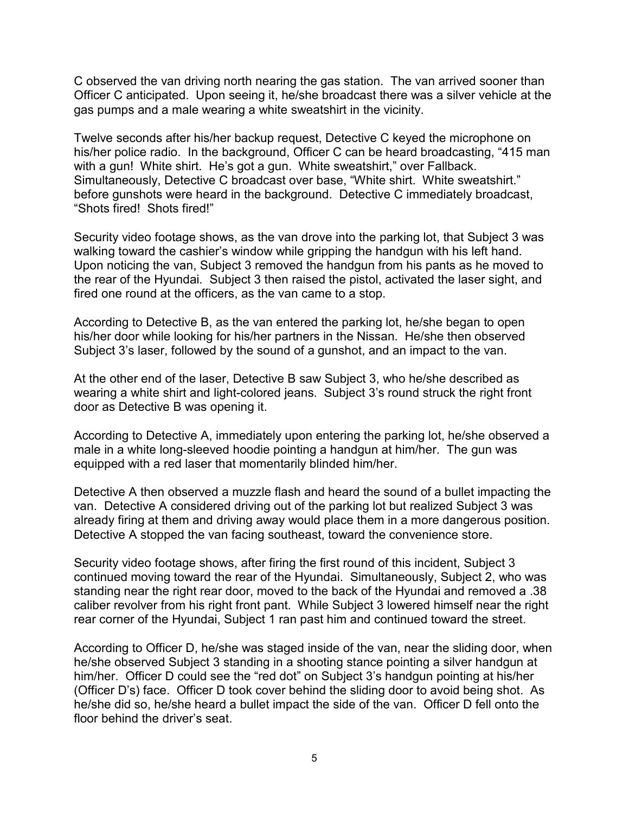C observed the van driving north nearing the gas station. The van arrived sooner than Officer C anticipated. Upon seeing it, he/she broadcast there was a silver vehicle at the gas pumps and a male wearing a white sweatshirt in the vicinity.

Twelve seconds after his/her backup request, Detective C keyed the microphone on his/her police radio. In the background, Officer C can be heard broadcasting, "415 man with a gun! White shirt. He's got a gun. White sweatshirt," over Fallback. Simultaneously, Detective C broadcast over base, "White shirt. White sweatshirt." before gunshots were heard in the background. Detective C immediately broadcast, "Shots fired! Shots fired!"

Security video footage shows, as the van drove into the parking lot, that Subject 3 was walking toward the cashier's window while gripping the handgun with his left hand. Upon noticing the van, Subject 3 removed the handgun from his pants as he moved to the rear of the Hyundai. Subject 3 then raised the pistol, activated the laser sight, and fired one round at the officers, as the van came to a stop.

According to Detective B, as the van entered the parking lot, he/she began to open his/her door while looking for his/her partners in the Nissan. He/she then observed Subject 3's laser, followed by the sound of a gunshot, and an impact to the van.

At the other end of the laser, Detective B saw Subject 3, who he/she described as wearing a white shirt and light-colored jeans. Subject 3's round struck the right front door as Detective B was opening it.

According to Detective A, immediately upon entering the parking lot, he/she observed a male in a white long-sleeved hoodie pointing a handgun at him/her. The gun was equipped with a red laser that momentarily blinded him/her.

Detective A then observed a muzzle flash and heard the sound of a bullet impacting the van. Detective A considered driving out of the parking lot but realized Subject 3 was already firing at them and driving away would place them in a more dangerous position. Detective A stopped the van facing southeast, toward the convenience store.

Security video footage shows, after firing the first round of this incident, Subject 3 continued moving toward the rear of the Hyundai. Simultaneously, Subject 2, who was standing near the right rear door, moved to the back of the Hyundai and removed a .38 caliber revolver from his right front pant. While Subject 3 lowered himself near the right rear corner of the Hyundai, Subject 1 ran past him and continued toward the street.

According to Officer D, he/she was staged inside of the van, near the sliding door, when he/she observed Subject 3 standing in a shooting stance pointing a silver handgun at him/her. Officer D could see the "red dot" on Subject 3's handgun pointing at his/her (Officer D's) face. Officer D took cover behind the sliding door to avoid being shot. As he/she did so, he/she heard a bullet impact the side of the van. Officer D fell onto the floor behind the driver's seat.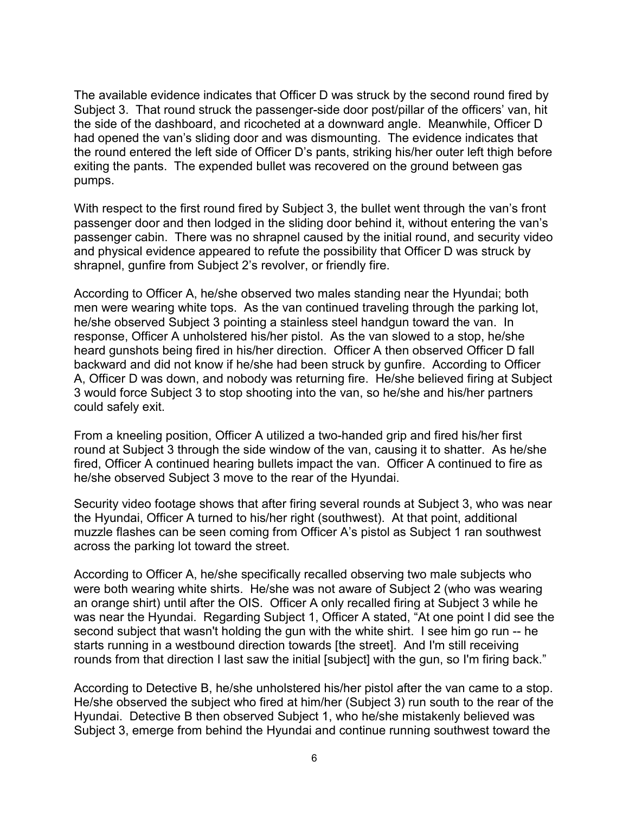The available evidence indicates that Officer D was struck by the second round fired by Subject 3. That round struck the passenger-side door post/pillar of the officers' van, hit the side of the dashboard, and ricocheted at a downward angle. Meanwhile, Officer D had opened the van's sliding door and was dismounting. The evidence indicates that the round entered the left side of Officer D's pants, striking his/her outer left thigh before exiting the pants. The expended bullet was recovered on the ground between gas pumps.

With respect to the first round fired by Subject 3, the bullet went through the van's front passenger door and then lodged in the sliding door behind it, without entering the van's passenger cabin. There was no shrapnel caused by the initial round, and security video and physical evidence appeared to refute the possibility that Officer D was struck by shrapnel, gunfire from Subject 2's revolver, or friendly fire.

According to Officer A, he/she observed two males standing near the Hyundai; both men were wearing white tops. As the van continued traveling through the parking lot, he/she observed Subject 3 pointing a stainless steel handgun toward the van. In response, Officer A unholstered his/her pistol. As the van slowed to a stop, he/she heard gunshots being fired in his/her direction. Officer A then observed Officer D fall backward and did not know if he/she had been struck by gunfire. According to Officer A, Officer D was down, and nobody was returning fire. He/she believed firing at Subject 3 would force Subject 3 to stop shooting into the van, so he/she and his/her partners could safely exit.

From a kneeling position, Officer A utilized a two-handed grip and fired his/her first round at Subject 3 through the side window of the van, causing it to shatter. As he/she fired, Officer A continued hearing bullets impact the van. Officer A continued to fire as he/she observed Subject 3 move to the rear of the Hyundai.

Security video footage shows that after firing several rounds at Subject 3, who was near the Hyundai, Officer A turned to his/her right (southwest). At that point, additional muzzle flashes can be seen coming from Officer A's pistol as Subject 1 ran southwest across the parking lot toward the street.

According to Officer A, he/she specifically recalled observing two male subjects who were both wearing white shirts. He/she was not aware of Subject 2 (who was wearing an orange shirt) until after the OIS. Officer A only recalled firing at Subject 3 while he was near the Hyundai. Regarding Subject 1, Officer A stated, "At one point I did see the second subject that wasn't holding the gun with the white shirt. I see him go run -- he starts running in a westbound direction towards [the street]. And I'm still receiving rounds from that direction I last saw the initial [subject] with the gun, so I'm firing back."

According to Detective B, he/she unholstered his/her pistol after the van came to a stop. He/she observed the subject who fired at him/her (Subject 3) run south to the rear of the Hyundai. Detective B then observed Subject 1, who he/she mistakenly believed was Subject 3, emerge from behind the Hyundai and continue running southwest toward the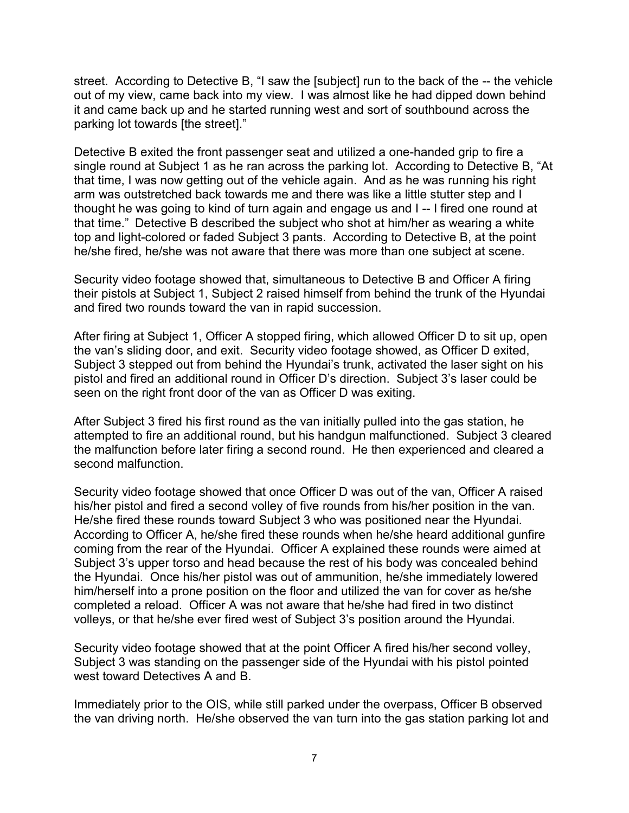street. According to Detective B, "I saw the [subject] run to the back of the -- the vehicle out of my view, came back into my view. I was almost like he had dipped down behind it and came back up and he started running west and sort of southbound across the parking lot towards [the street]."

Detective B exited the front passenger seat and utilized a one-handed grip to fire a single round at Subject 1 as he ran across the parking lot. According to Detective B, "At that time, I was now getting out of the vehicle again. And as he was running his right arm was outstretched back towards me and there was like a little stutter step and I thought he was going to kind of turn again and engage us and I -- I fired one round at that time." Detective B described the subject who shot at him/her as wearing a white top and light-colored or faded Subject 3 pants. According to Detective B, at the point he/she fired, he/she was not aware that there was more than one subject at scene.

Security video footage showed that, simultaneous to Detective B and Officer A firing their pistols at Subject 1, Subject 2 raised himself from behind the trunk of the Hyundai and fired two rounds toward the van in rapid succession.

After firing at Subject 1, Officer A stopped firing, which allowed Officer D to sit up, open the van's sliding door, and exit. Security video footage showed, as Officer D exited, Subject 3 stepped out from behind the Hyundai's trunk, activated the laser sight on his pistol and fired an additional round in Officer D's direction. Subject 3's laser could be seen on the right front door of the van as Officer D was exiting.

After Subject 3 fired his first round as the van initially pulled into the gas station, he attempted to fire an additional round, but his handgun malfunctioned. Subject 3 cleared the malfunction before later firing a second round. He then experienced and cleared a second malfunction.

Security video footage showed that once Officer D was out of the van, Officer A raised his/her pistol and fired a second volley of five rounds from his/her position in the van. He/she fired these rounds toward Subject 3 who was positioned near the Hyundai. According to Officer A, he/she fired these rounds when he/she heard additional gunfire coming from the rear of the Hyundai. Officer A explained these rounds were aimed at Subject 3's upper torso and head because the rest of his body was concealed behind the Hyundai. Once his/her pistol was out of ammunition, he/she immediately lowered him/herself into a prone position on the floor and utilized the van for cover as he/she completed a reload. Officer A was not aware that he/she had fired in two distinct volleys, or that he/she ever fired west of Subject 3's position around the Hyundai.

Security video footage showed that at the point Officer A fired his/her second volley, Subject 3 was standing on the passenger side of the Hyundai with his pistol pointed west toward Detectives A and B.

Immediately prior to the OIS, while still parked under the overpass, Officer B observed the van driving north. He/she observed the van turn into the gas station parking lot and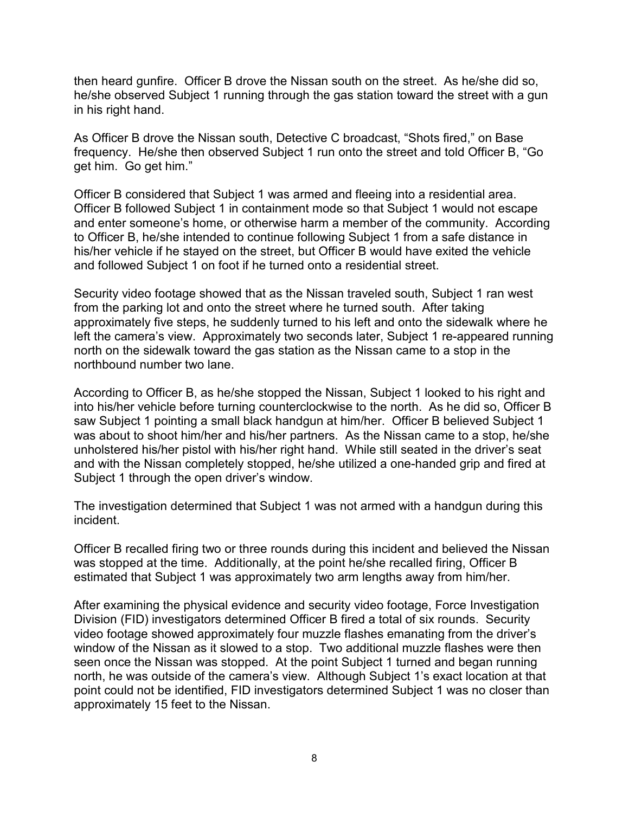then heard gunfire. Officer B drove the Nissan south on the street. As he/she did so, he/she observed Subject 1 running through the gas station toward the street with a gun in his right hand.

As Officer B drove the Nissan south, Detective C broadcast, "Shots fired," on Base frequency. He/she then observed Subject 1 run onto the street and told Officer B, "Go get him. Go get him."

Officer B considered that Subject 1 was armed and fleeing into a residential area. Officer B followed Subject 1 in containment mode so that Subject 1 would not escape and enter someone's home, or otherwise harm a member of the community. According to Officer B, he/she intended to continue following Subject 1 from a safe distance in his/her vehicle if he stayed on the street, but Officer B would have exited the vehicle and followed Subject 1 on foot if he turned onto a residential street.

Security video footage showed that as the Nissan traveled south, Subject 1 ran west from the parking lot and onto the street where he turned south. After taking approximately five steps, he suddenly turned to his left and onto the sidewalk where he left the camera's view. Approximately two seconds later, Subject 1 re-appeared running north on the sidewalk toward the gas station as the Nissan came to a stop in the northbound number two lane.

According to Officer B, as he/she stopped the Nissan, Subject 1 looked to his right and into his/her vehicle before turning counterclockwise to the north. As he did so, Officer B saw Subject 1 pointing a small black handgun at him/her. Officer B believed Subject 1 was about to shoot him/her and his/her partners. As the Nissan came to a stop, he/she unholstered his/her pistol with his/her right hand. While still seated in the driver's seat and with the Nissan completely stopped, he/she utilized a one-handed grip and fired at Subject 1 through the open driver's window.

The investigation determined that Subject 1 was not armed with a handgun during this incident.

Officer B recalled firing two or three rounds during this incident and believed the Nissan was stopped at the time. Additionally, at the point he/she recalled firing, Officer B estimated that Subject 1 was approximately two arm lengths away from him/her.

After examining the physical evidence and security video footage, Force Investigation Division (FID) investigators determined Officer B fired a total of six rounds. Security video footage showed approximately four muzzle flashes emanating from the driver's window of the Nissan as it slowed to a stop. Two additional muzzle flashes were then seen once the Nissan was stopped. At the point Subject 1 turned and began running north, he was outside of the camera's view. Although Subject 1's exact location at that point could not be identified, FID investigators determined Subject 1 was no closer than approximately 15 feet to the Nissan.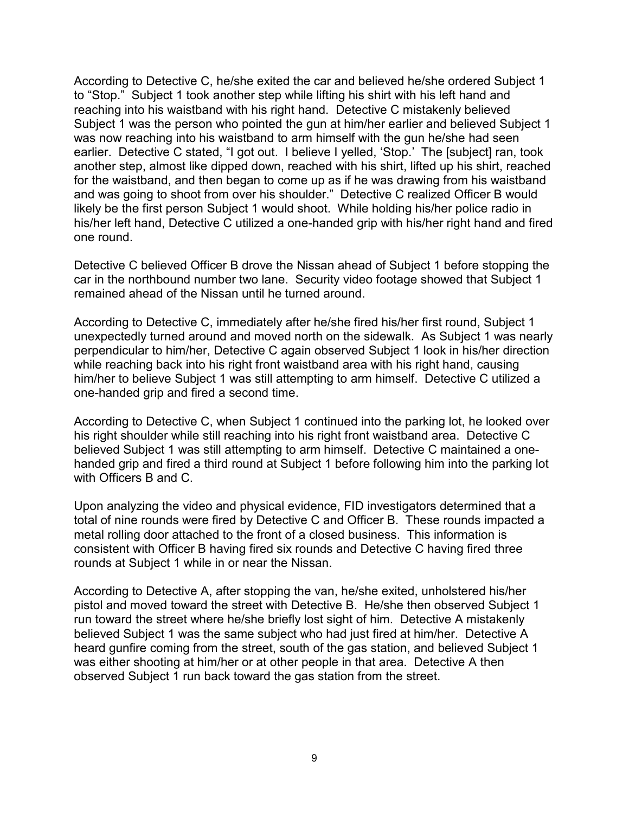According to Detective C, he/she exited the car and believed he/she ordered Subject 1 to "Stop." Subject 1 took another step while lifting his shirt with his left hand and reaching into his waistband with his right hand. Detective C mistakenly believed Subject 1 was the person who pointed the gun at him/her earlier and believed Subject 1 was now reaching into his waistband to arm himself with the gun he/she had seen earlier. Detective C stated, "I got out. I believe I yelled, 'Stop.' The [subject] ran, took another step, almost like dipped down, reached with his shirt, lifted up his shirt, reached for the waistband, and then began to come up as if he was drawing from his waistband and was going to shoot from over his shoulder." Detective C realized Officer B would likely be the first person Subject 1 would shoot. While holding his/her police radio in his/her left hand, Detective C utilized a one-handed grip with his/her right hand and fired one round.

Detective C believed Officer B drove the Nissan ahead of Subject 1 before stopping the car in the northbound number two lane. Security video footage showed that Subject 1 remained ahead of the Nissan until he turned around.

According to Detective C, immediately after he/she fired his/her first round, Subject 1 unexpectedly turned around and moved north on the sidewalk. As Subject 1 was nearly perpendicular to him/her, Detective C again observed Subject 1 look in his/her direction while reaching back into his right front waistband area with his right hand, causing him/her to believe Subject 1 was still attempting to arm himself. Detective C utilized a one-handed grip and fired a second time.

According to Detective C, when Subject 1 continued into the parking lot, he looked over his right shoulder while still reaching into his right front waistband area. Detective C believed Subject 1 was still attempting to arm himself. Detective C maintained a onehanded grip and fired a third round at Subject 1 before following him into the parking lot with Officers B and C.

Upon analyzing the video and physical evidence, FID investigators determined that a total of nine rounds were fired by Detective C and Officer B. These rounds impacted a metal rolling door attached to the front of a closed business. This information is consistent with Officer B having fired six rounds and Detective C having fired three rounds at Subject 1 while in or near the Nissan.

According to Detective A, after stopping the van, he/she exited, unholstered his/her pistol and moved toward the street with Detective B. He/she then observed Subject 1 run toward the street where he/she briefly lost sight of him. Detective A mistakenly believed Subject 1 was the same subject who had just fired at him/her. Detective A heard gunfire coming from the street, south of the gas station, and believed Subject 1 was either shooting at him/her or at other people in that area. Detective A then observed Subject 1 run back toward the gas station from the street.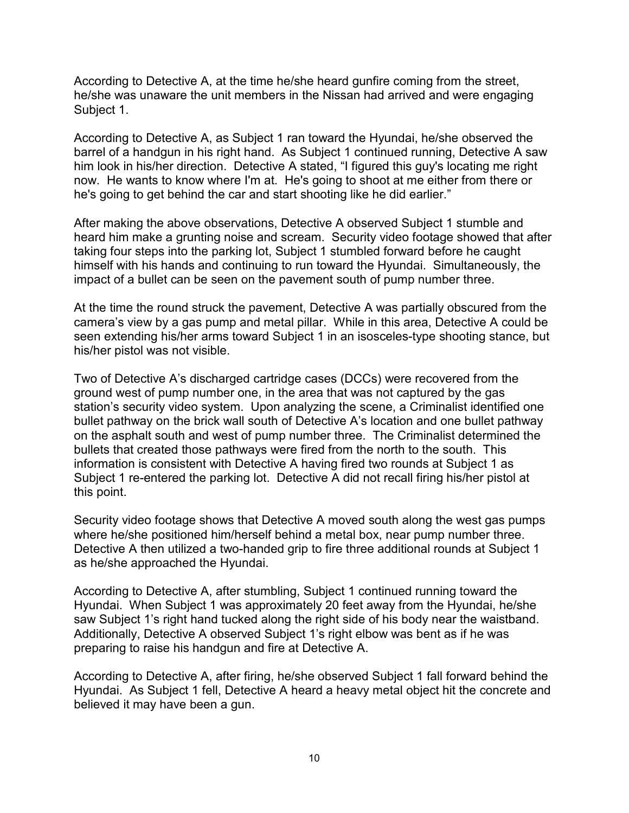According to Detective A, at the time he/she heard gunfire coming from the street, he/she was unaware the unit members in the Nissan had arrived and were engaging Subject 1.

According to Detective A, as Subject 1 ran toward the Hyundai, he/she observed the barrel of a handgun in his right hand. As Subject 1 continued running, Detective A saw him look in his/her direction. Detective A stated, "I figured this guy's locating me right now. He wants to know where I'm at. He's going to shoot at me either from there or he's going to get behind the car and start shooting like he did earlier."

After making the above observations, Detective A observed Subject 1 stumble and heard him make a grunting noise and scream. Security video footage showed that after taking four steps into the parking lot, Subject 1 stumbled forward before he caught himself with his hands and continuing to run toward the Hyundai. Simultaneously, the impact of a bullet can be seen on the pavement south of pump number three.

At the time the round struck the pavement, Detective A was partially obscured from the camera's view by a gas pump and metal pillar. While in this area, Detective A could be seen extending his/her arms toward Subject 1 in an isosceles-type shooting stance, but his/her pistol was not visible.

Two of Detective A's discharged cartridge cases (DCCs) were recovered from the ground west of pump number one, in the area that was not captured by the gas station's security video system. Upon analyzing the scene, a Criminalist identified one bullet pathway on the brick wall south of Detective A's location and one bullet pathway on the asphalt south and west of pump number three. The Criminalist determined the bullets that created those pathways were fired from the north to the south. This information is consistent with Detective A having fired two rounds at Subject 1 as Subject 1 re-entered the parking lot. Detective A did not recall firing his/her pistol at this point.

Security video footage shows that Detective A moved south along the west gas pumps where he/she positioned him/herself behind a metal box, near pump number three. Detective A then utilized a two-handed grip to fire three additional rounds at Subject 1 as he/she approached the Hyundai.

According to Detective A, after stumbling, Subject 1 continued running toward the Hyundai. When Subject 1 was approximately 20 feet away from the Hyundai, he/she saw Subject 1's right hand tucked along the right side of his body near the waistband. Additionally, Detective A observed Subject 1's right elbow was bent as if he was preparing to raise his handgun and fire at Detective A.

According to Detective A, after firing, he/she observed Subject 1 fall forward behind the Hyundai. As Subject 1 fell, Detective A heard a heavy metal object hit the concrete and believed it may have been a gun.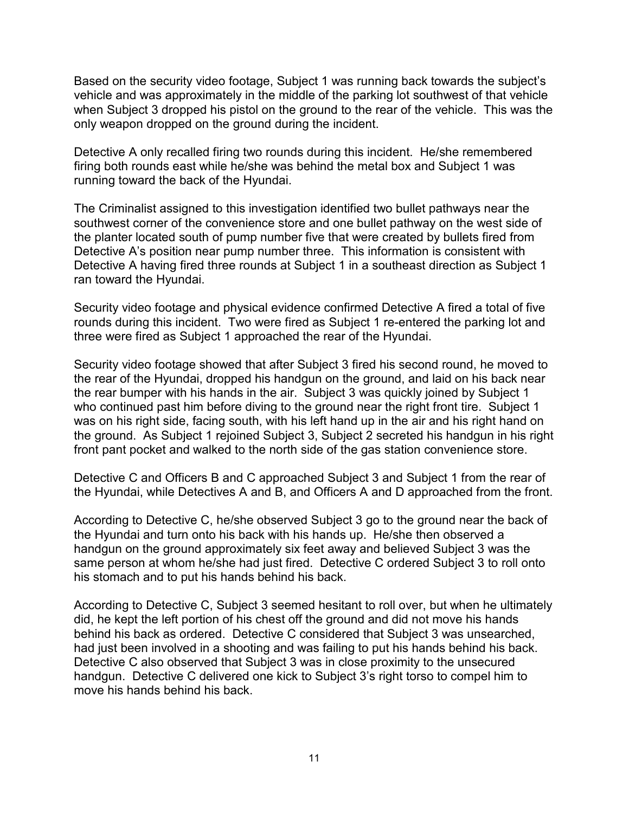Based on the security video footage, Subject 1 was running back towards the subject's vehicle and was approximately in the middle of the parking lot southwest of that vehicle when Subject 3 dropped his pistol on the ground to the rear of the vehicle. This was the only weapon dropped on the ground during the incident.

Detective A only recalled firing two rounds during this incident. He/she remembered firing both rounds east while he/she was behind the metal box and Subject 1 was running toward the back of the Hyundai.

The Criminalist assigned to this investigation identified two bullet pathways near the southwest corner of the convenience store and one bullet pathway on the west side of the planter located south of pump number five that were created by bullets fired from Detective A's position near pump number three. This information is consistent with Detective A having fired three rounds at Subject 1 in a southeast direction as Subject 1 ran toward the Hyundai.

Security video footage and physical evidence confirmed Detective A fired a total of five rounds during this incident. Two were fired as Subject 1 re-entered the parking lot and three were fired as Subject 1 approached the rear of the Hyundai.

Security video footage showed that after Subject 3 fired his second round, he moved to the rear of the Hyundai, dropped his handgun on the ground, and laid on his back near the rear bumper with his hands in the air. Subject 3 was quickly joined by Subject 1 who continued past him before diving to the ground near the right front tire. Subject 1 was on his right side, facing south, with his left hand up in the air and his right hand on the ground. As Subject 1 rejoined Subject 3, Subject 2 secreted his handgun in his right front pant pocket and walked to the north side of the gas station convenience store.

Detective C and Officers B and C approached Subject 3 and Subject 1 from the rear of the Hyundai, while Detectives A and B, and Officers A and D approached from the front.

According to Detective C, he/she observed Subject 3 go to the ground near the back of the Hyundai and turn onto his back with his hands up. He/she then observed a handgun on the ground approximately six feet away and believed Subject 3 was the same person at whom he/she had just fired. Detective C ordered Subject 3 to roll onto his stomach and to put his hands behind his back.

According to Detective C, Subject 3 seemed hesitant to roll over, but when he ultimately did, he kept the left portion of his chest off the ground and did not move his hands behind his back as ordered. Detective C considered that Subject 3 was unsearched, had just been involved in a shooting and was failing to put his hands behind his back. Detective C also observed that Subject 3 was in close proximity to the unsecured handgun. Detective C delivered one kick to Subject 3's right torso to compel him to move his hands behind his back.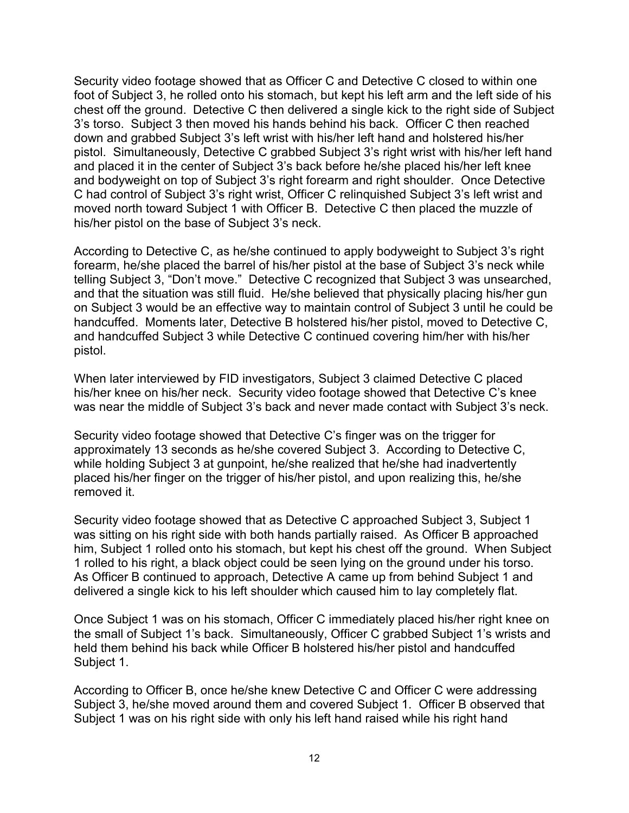Security video footage showed that as Officer C and Detective C closed to within one foot of Subject 3, he rolled onto his stomach, but kept his left arm and the left side of his chest off the ground. Detective C then delivered a single kick to the right side of Subject 3's torso. Subject 3 then moved his hands behind his back. Officer C then reached down and grabbed Subject 3's left wrist with his/her left hand and holstered his/her pistol. Simultaneously, Detective C grabbed Subject 3's right wrist with his/her left hand and placed it in the center of Subject 3's back before he/she placed his/her left knee and bodyweight on top of Subject 3's right forearm and right shoulder. Once Detective C had control of Subject 3's right wrist, Officer C relinquished Subject 3's left wrist and moved north toward Subject 1 with Officer B. Detective C then placed the muzzle of his/her pistol on the base of Subject 3's neck.

According to Detective C, as he/she continued to apply bodyweight to Subject 3's right forearm, he/she placed the barrel of his/her pistol at the base of Subject 3's neck while telling Subject 3, "Don't move." Detective C recognized that Subject 3 was unsearched, and that the situation was still fluid. He/she believed that physically placing his/her gun on Subject 3 would be an effective way to maintain control of Subject 3 until he could be handcuffed. Moments later, Detective B holstered his/her pistol, moved to Detective C, and handcuffed Subject 3 while Detective C continued covering him/her with his/her pistol.

When later interviewed by FID investigators, Subject 3 claimed Detective C placed his/her knee on his/her neck. Security video footage showed that Detective C's knee was near the middle of Subject 3's back and never made contact with Subject 3's neck.

Security video footage showed that Detective C's finger was on the trigger for approximately 13 seconds as he/she covered Subject 3. According to Detective C, while holding Subject 3 at gunpoint, he/she realized that he/she had inadvertently placed his/her finger on the trigger of his/her pistol, and upon realizing this, he/she removed it.

Security video footage showed that as Detective C approached Subject 3, Subject 1 was sitting on his right side with both hands partially raised. As Officer B approached him, Subject 1 rolled onto his stomach, but kept his chest off the ground. When Subject 1 rolled to his right, a black object could be seen lying on the ground under his torso. As Officer B continued to approach, Detective A came up from behind Subject 1 and delivered a single kick to his left shoulder which caused him to lay completely flat.

Once Subject 1 was on his stomach, Officer C immediately placed his/her right knee on the small of Subject 1's back. Simultaneously, Officer C grabbed Subject 1's wrists and held them behind his back while Officer B holstered his/her pistol and handcuffed Subject 1.

According to Officer B, once he/she knew Detective C and Officer C were addressing Subject 3, he/she moved around them and covered Subject 1. Officer B observed that Subject 1 was on his right side with only his left hand raised while his right hand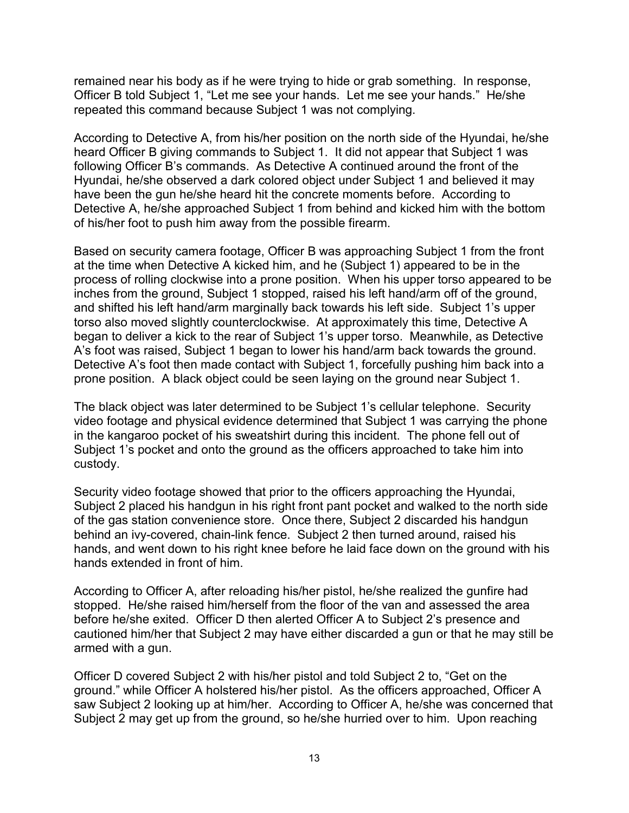remained near his body as if he were trying to hide or grab something. In response, Officer B told Subject 1, "Let me see your hands. Let me see your hands." He/she repeated this command because Subject 1 was not complying.

According to Detective A, from his/her position on the north side of the Hyundai, he/she heard Officer B giving commands to Subject 1. It did not appear that Subject 1 was following Officer B's commands. As Detective A continued around the front of the Hyundai, he/she observed a dark colored object under Subject 1 and believed it may have been the gun he/she heard hit the concrete moments before. According to Detective A, he/she approached Subject 1 from behind and kicked him with the bottom of his/her foot to push him away from the possible firearm.

Based on security camera footage, Officer B was approaching Subject 1 from the front at the time when Detective A kicked him, and he (Subject 1) appeared to be in the process of rolling clockwise into a prone position. When his upper torso appeared to be inches from the ground, Subject 1 stopped, raised his left hand/arm off of the ground, and shifted his left hand/arm marginally back towards his left side. Subject 1's upper torso also moved slightly counterclockwise. At approximately this time, Detective A began to deliver a kick to the rear of Subject 1's upper torso. Meanwhile, as Detective A's foot was raised, Subject 1 began to lower his hand/arm back towards the ground. Detective A's foot then made contact with Subject 1, forcefully pushing him back into a prone position. A black object could be seen laying on the ground near Subject 1.

The black object was later determined to be Subject 1's cellular telephone. Security video footage and physical evidence determined that Subject 1 was carrying the phone in the kangaroo pocket of his sweatshirt during this incident. The phone fell out of Subject 1's pocket and onto the ground as the officers approached to take him into custody.

Security video footage showed that prior to the officers approaching the Hyundai, Subject 2 placed his handgun in his right front pant pocket and walked to the north side of the gas station convenience store. Once there, Subject 2 discarded his handgun behind an ivy-covered, chain-link fence. Subject 2 then turned around, raised his hands, and went down to his right knee before he laid face down on the ground with his hands extended in front of him.

According to Officer A, after reloading his/her pistol, he/she realized the gunfire had stopped. He/she raised him/herself from the floor of the van and assessed the area before he/she exited. Officer D then alerted Officer A to Subject 2's presence and cautioned him/her that Subject 2 may have either discarded a gun or that he may still be armed with a gun.

Officer D covered Subject 2 with his/her pistol and told Subject 2 to, "Get on the ground." while Officer A holstered his/her pistol. As the officers approached, Officer A saw Subject 2 looking up at him/her. According to Officer A, he/she was concerned that Subject 2 may get up from the ground, so he/she hurried over to him. Upon reaching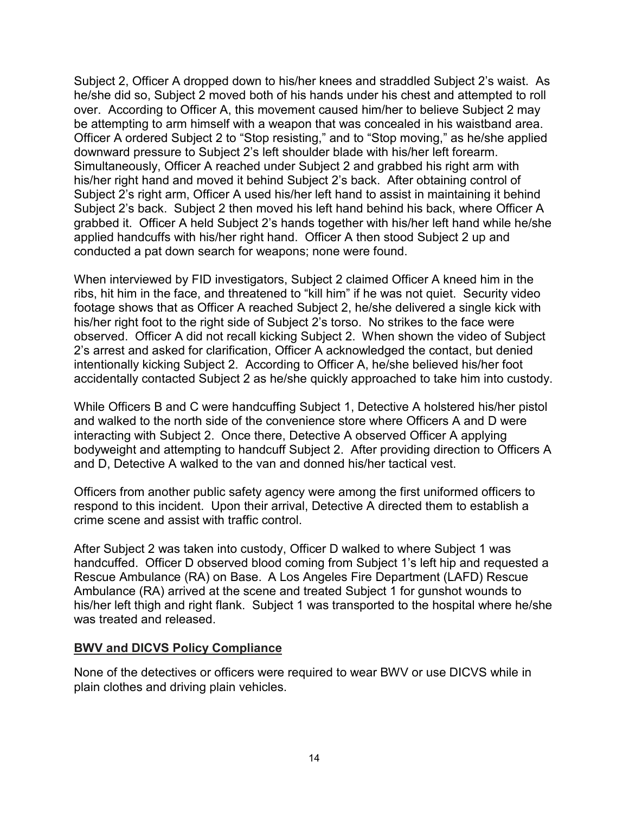Subject 2, Officer A dropped down to his/her knees and straddled Subject 2's waist. As he/she did so, Subject 2 moved both of his hands under his chest and attempted to roll over. According to Officer A, this movement caused him/her to believe Subject 2 may be attempting to arm himself with a weapon that was concealed in his waistband area. Officer A ordered Subject 2 to "Stop resisting," and to "Stop moving," as he/she applied downward pressure to Subject 2's left shoulder blade with his/her left forearm. Simultaneously, Officer A reached under Subject 2 and grabbed his right arm with his/her right hand and moved it behind Subject 2's back. After obtaining control of Subject 2's right arm, Officer A used his/her left hand to assist in maintaining it behind Subject 2's back. Subject 2 then moved his left hand behind his back, where Officer A grabbed it. Officer A held Subject 2's hands together with his/her left hand while he/she applied handcuffs with his/her right hand. Officer A then stood Subject 2 up and conducted a pat down search for weapons; none were found.

When interviewed by FID investigators, Subject 2 claimed Officer A kneed him in the ribs, hit him in the face, and threatened to "kill him" if he was not quiet. Security video footage shows that as Officer A reached Subject 2, he/she delivered a single kick with his/her right foot to the right side of Subject 2's torso. No strikes to the face were observed. Officer A did not recall kicking Subject 2. When shown the video of Subject 2's arrest and asked for clarification, Officer A acknowledged the contact, but denied intentionally kicking Subject 2. According to Officer A, he/she believed his/her foot accidentally contacted Subject 2 as he/she quickly approached to take him into custody.

While Officers B and C were handcuffing Subject 1, Detective A holstered his/her pistol and walked to the north side of the convenience store where Officers A and D were interacting with Subject 2. Once there, Detective A observed Officer A applying bodyweight and attempting to handcuff Subject 2. After providing direction to Officers A and D, Detective A walked to the van and donned his/her tactical vest.

Officers from another public safety agency were among the first uniformed officers to respond to this incident. Upon their arrival, Detective A directed them to establish a crime scene and assist with traffic control.

After Subject 2 was taken into custody, Officer D walked to where Subject 1 was handcuffed. Officer D observed blood coming from Subject 1's left hip and requested a Rescue Ambulance (RA) on Base. A Los Angeles Fire Department (LAFD) Rescue Ambulance (RA) arrived at the scene and treated Subject 1 for gunshot wounds to his/her left thigh and right flank. Subject 1 was transported to the hospital where he/she was treated and released.

#### **BWV and DICVS Policy Compliance**

None of the detectives or officers were required to wear BWV or use DICVS while in plain clothes and driving plain vehicles.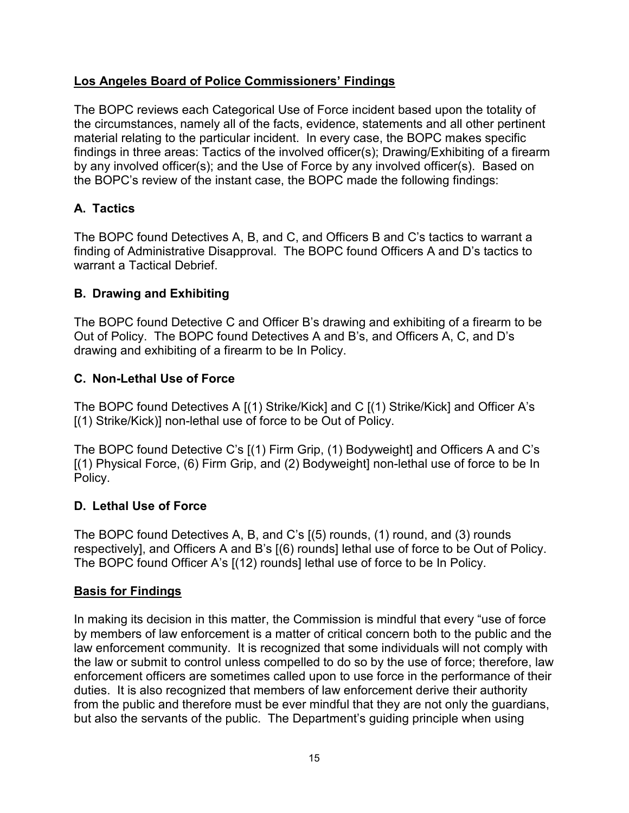## **Los Angeles Board of Police Commissioners' Findings**

The BOPC reviews each Categorical Use of Force incident based upon the totality of the circumstances, namely all of the facts, evidence, statements and all other pertinent material relating to the particular incident. In every case, the BOPC makes specific findings in three areas: Tactics of the involved officer(s); Drawing/Exhibiting of a firearm by any involved officer(s); and the Use of Force by any involved officer(s). Based on the BOPC's review of the instant case, the BOPC made the following findings:

# **A. Tactics**

The BOPC found Detectives A, B, and C, and Officers B and C's tactics to warrant a finding of Administrative Disapproval. The BOPC found Officers A and D's tactics to warrant a Tactical Debrief.

## **B. Drawing and Exhibiting**

The BOPC found Detective C and Officer B's drawing and exhibiting of a firearm to be Out of Policy. The BOPC found Detectives A and B's, and Officers A, C, and D's drawing and exhibiting of a firearm to be In Policy.

## **C. Non-Lethal Use of Force**

The BOPC found Detectives A [(1) Strike/Kick] and C [(1) Strike/Kick] and Officer A's [(1) Strike/Kick)] non-lethal use of force to be Out of Policy.

The BOPC found Detective C's [(1) Firm Grip, (1) Bodyweight] and Officers A and C's [(1) Physical Force, (6) Firm Grip, and (2) Bodyweight] non-lethal use of force to be In Policy.

### **D. Lethal Use of Force**

The BOPC found Detectives A, B, and C's [(5) rounds, (1) round, and (3) rounds respectively], and Officers A and B's [(6) rounds] lethal use of force to be Out of Policy. The BOPC found Officer A's [(12) rounds] lethal use of force to be In Policy.

### **Basis for Findings**

In making its decision in this matter, the Commission is mindful that every "use of force by members of law enforcement is a matter of critical concern both to the public and the law enforcement community. It is recognized that some individuals will not comply with the law or submit to control unless compelled to do so by the use of force; therefore, law enforcement officers are sometimes called upon to use force in the performance of their duties. It is also recognized that members of law enforcement derive their authority from the public and therefore must be ever mindful that they are not only the guardians, but also the servants of the public. The Department's guiding principle when using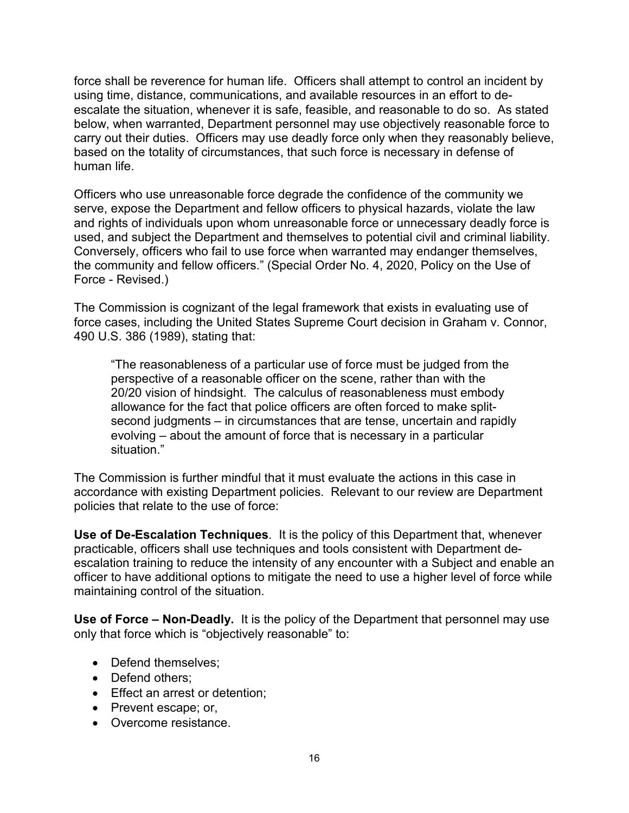force shall be reverence for human life. Officers shall attempt to control an incident by using time, distance, communications, and available resources in an effort to deescalate the situation, whenever it is safe, feasible, and reasonable to do so. As stated below, when warranted, Department personnel may use objectively reasonable force to carry out their duties. Officers may use deadly force only when they reasonably believe, based on the totality of circumstances, that such force is necessary in defense of human life.

Officers who use unreasonable force degrade the confidence of the community we serve, expose the Department and fellow officers to physical hazards, violate the law and rights of individuals upon whom unreasonable force or unnecessary deadly force is used, and subject the Department and themselves to potential civil and criminal liability. Conversely, officers who fail to use force when warranted may endanger themselves, the community and fellow officers." (Special Order No. 4, 2020, Policy on the Use of Force - Revised.)

The Commission is cognizant of the legal framework that exists in evaluating use of force cases, including the United States Supreme Court decision in Graham v. Connor, 490 U.S. 386 (1989), stating that:

"The reasonableness of a particular use of force must be judged from the perspective of a reasonable officer on the scene, rather than with the 20/20 vision of hindsight. The calculus of reasonableness must embody allowance for the fact that police officers are often forced to make splitsecond judgments – in circumstances that are tense, uncertain and rapidly evolving – about the amount of force that is necessary in a particular situation."

The Commission is further mindful that it must evaluate the actions in this case in accordance with existing Department policies. Relevant to our review are Department policies that relate to the use of force:

**Use of De-Escalation Techniques**. It is the policy of this Department that, whenever practicable, officers shall use techniques and tools consistent with Department deescalation training to reduce the intensity of any encounter with a Subject and enable an officer to have additional options to mitigate the need to use a higher level of force while maintaining control of the situation.

**Use of Force – Non-Deadly.** It is the policy of the Department that personnel may use only that force which is "objectively reasonable" to:

- Defend themselves:
- Defend others;
- Effect an arrest or detention;
- Prevent escape; or,
- Overcome resistance.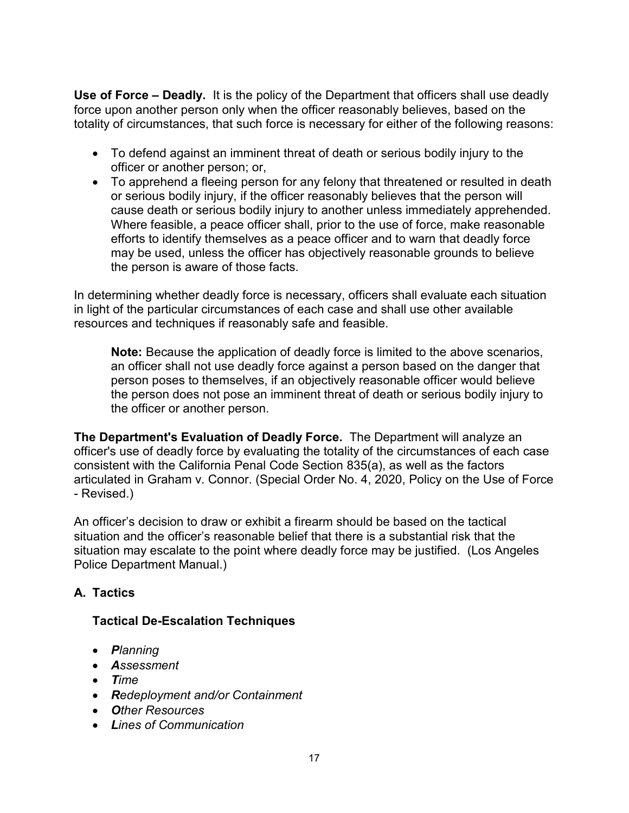**Use of Force – Deadly.** It is the policy of the Department that officers shall use deadly force upon another person only when the officer reasonably believes, based on the totality of circumstances, that such force is necessary for either of the following reasons:

- To defend against an imminent threat of death or serious bodily injury to the officer or another person; or,
- To apprehend a fleeing person for any felony that threatened or resulted in death or serious bodily injury, if the officer reasonably believes that the person will cause death or serious bodily injury to another unless immediately apprehended. Where feasible, a peace officer shall, prior to the use of force, make reasonable efforts to identify themselves as a peace officer and to warn that deadly force may be used, unless the officer has objectively reasonable grounds to believe the person is aware of those facts.

In determining whether deadly force is necessary, officers shall evaluate each situation in light of the particular circumstances of each case and shall use other available resources and techniques if reasonably safe and feasible.

**Note:** Because the application of deadly force is limited to the above scenarios, an officer shall not use deadly force against a person based on the danger that person poses to themselves, if an objectively reasonable officer would believe the person does not pose an imminent threat of death or serious bodily injury to the officer or another person.

**The Department's Evaluation of Deadly Force.** The Department will analyze an officer's use of deadly force by evaluating the totality of the circumstances of each case consistent with the California Penal Code Section 835(a), as well as the factors articulated in Graham v. Connor. (Special Order No. 4, 2020, Policy on the Use of Force - Revised.)

An officer's decision to draw or exhibit a firearm should be based on the tactical situation and the officer's reasonable belief that there is a substantial risk that the situation may escalate to the point where deadly force may be justified. (Los Angeles Police Department Manual.)

# **A. Tactics**

# **Tactical De-Escalation Techniques**

- *Planning*
- *Assessment*
- *Time*
- *Redeployment and/or Containment*
- *Other Resources*
- *Lines of Communication*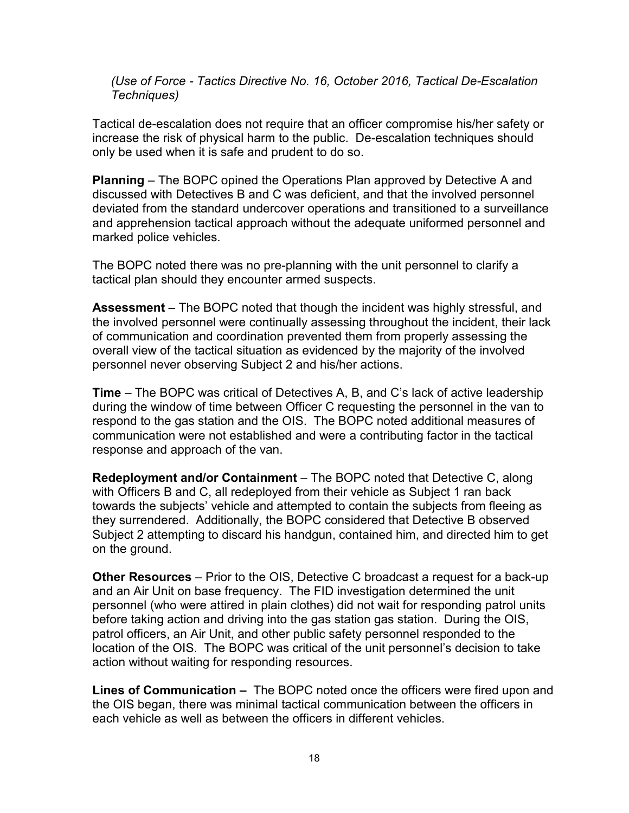*(Use of Force - Tactics Directive No. 16, October 2016, Tactical De-Escalation Techniques)*

Tactical de-escalation does not require that an officer compromise his/her safety or increase the risk of physical harm to the public. De-escalation techniques should only be used when it is safe and prudent to do so.

**Planning** – The BOPC opined the Operations Plan approved by Detective A and discussed with Detectives B and C was deficient, and that the involved personnel deviated from the standard undercover operations and transitioned to a surveillance and apprehension tactical approach without the adequate uniformed personnel and marked police vehicles.

The BOPC noted there was no pre-planning with the unit personnel to clarify a tactical plan should they encounter armed suspects.

**Assessment** – The BOPC noted that though the incident was highly stressful, and the involved personnel were continually assessing throughout the incident, their lack of communication and coordination prevented them from properly assessing the overall view of the tactical situation as evidenced by the majority of the involved personnel never observing Subject 2 and his/her actions.

**Time** – The BOPC was critical of Detectives A, B, and C's lack of active leadership during the window of time between Officer C requesting the personnel in the van to respond to the gas station and the OIS. The BOPC noted additional measures of communication were not established and were a contributing factor in the tactical response and approach of the van.

**Redeployment and/or Containment** – The BOPC noted that Detective C, along with Officers B and C, all redeployed from their vehicle as Subject 1 ran back towards the subjects' vehicle and attempted to contain the subjects from fleeing as they surrendered. Additionally, the BOPC considered that Detective B observed Subject 2 attempting to discard his handgun, contained him, and directed him to get on the ground.

**Other Resources** – Prior to the OIS, Detective C broadcast a request for a back-up and an Air Unit on base frequency. The FID investigation determined the unit personnel (who were attired in plain clothes) did not wait for responding patrol units before taking action and driving into the gas station gas station. During the OIS, patrol officers, an Air Unit, and other public safety personnel responded to the location of the OIS. The BOPC was critical of the unit personnel's decision to take action without waiting for responding resources.

**Lines of Communication –** The BOPC noted once the officers were fired upon and the OIS began, there was minimal tactical communication between the officers in each vehicle as well as between the officers in different vehicles.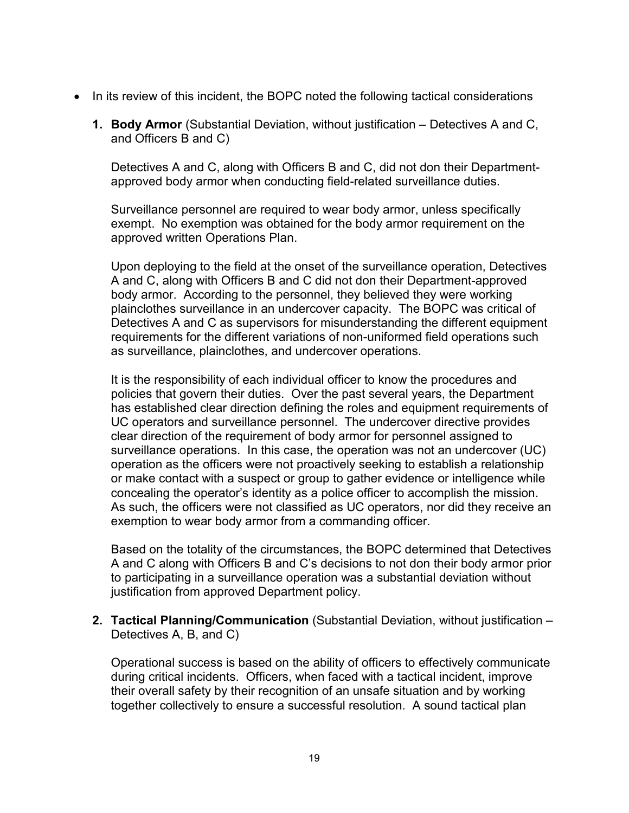- In its review of this incident, the BOPC noted the following tactical considerations
	- **1. Body Armor** (Substantial Deviation, without justification Detectives A and C, and Officers B and C)

Detectives A and C, along with Officers B and C, did not don their Departmentapproved body armor when conducting field-related surveillance duties.

Surveillance personnel are required to wear body armor, unless specifically exempt. No exemption was obtained for the body armor requirement on the approved written Operations Plan.

Upon deploying to the field at the onset of the surveillance operation, Detectives A and C, along with Officers B and C did not don their Department-approved body armor. According to the personnel, they believed they were working plainclothes surveillance in an undercover capacity. The BOPC was critical of Detectives A and C as supervisors for misunderstanding the different equipment requirements for the different variations of non-uniformed field operations such as surveillance, plainclothes, and undercover operations.

It is the responsibility of each individual officer to know the procedures and policies that govern their duties. Over the past several years, the Department has established clear direction defining the roles and equipment requirements of UC operators and surveillance personnel. The undercover directive provides clear direction of the requirement of body armor for personnel assigned to surveillance operations. In this case, the operation was not an undercover (UC) operation as the officers were not proactively seeking to establish a relationship or make contact with a suspect or group to gather evidence or intelligence while concealing the operator's identity as a police officer to accomplish the mission. As such, the officers were not classified as UC operators, nor did they receive an exemption to wear body armor from a commanding officer.

Based on the totality of the circumstances, the BOPC determined that Detectives A and C along with Officers B and C's decisions to not don their body armor prior to participating in a surveillance operation was a substantial deviation without justification from approved Department policy.

**2. Tactical Planning/Communication** (Substantial Deviation, without justification – Detectives A, B, and C)

Operational success is based on the ability of officers to effectively communicate during critical incidents. Officers, when faced with a tactical incident, improve their overall safety by their recognition of an unsafe situation and by working together collectively to ensure a successful resolution. A sound tactical plan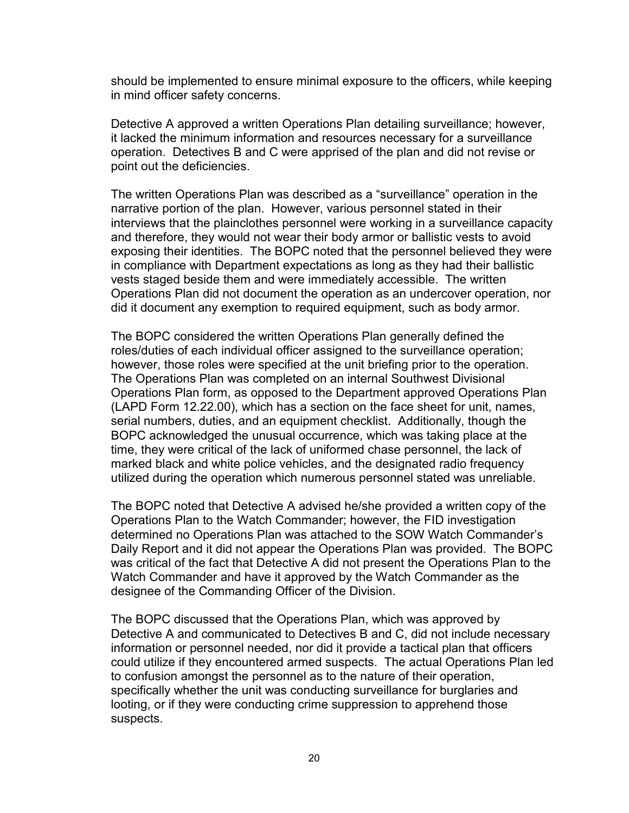should be implemented to ensure minimal exposure to the officers, while keeping in mind officer safety concerns.

Detective A approved a written Operations Plan detailing surveillance; however, it lacked the minimum information and resources necessary for a surveillance operation. Detectives B and C were apprised of the plan and did not revise or point out the deficiencies.

The written Operations Plan was described as a "surveillance" operation in the narrative portion of the plan. However, various personnel stated in their interviews that the plainclothes personnel were working in a surveillance capacity and therefore, they would not wear their body armor or ballistic vests to avoid exposing their identities. The BOPC noted that the personnel believed they were in compliance with Department expectations as long as they had their ballistic vests staged beside them and were immediately accessible. The written Operations Plan did not document the operation as an undercover operation, nor did it document any exemption to required equipment, such as body armor.

The BOPC considered the written Operations Plan generally defined the roles/duties of each individual officer assigned to the surveillance operation; however, those roles were specified at the unit briefing prior to the operation. The Operations Plan was completed on an internal Southwest Divisional Operations Plan form, as opposed to the Department approved Operations Plan (LAPD Form 12.22.00), which has a section on the face sheet for unit, names, serial numbers, duties, and an equipment checklist. Additionally, though the BOPC acknowledged the unusual occurrence, which was taking place at the time, they were critical of the lack of uniformed chase personnel, the lack of marked black and white police vehicles, and the designated radio frequency utilized during the operation which numerous personnel stated was unreliable.

The BOPC noted that Detective A advised he/she provided a written copy of the Operations Plan to the Watch Commander; however, the FID investigation determined no Operations Plan was attached to the SOW Watch Commander's Daily Report and it did not appear the Operations Plan was provided. The BOPC was critical of the fact that Detective A did not present the Operations Plan to the Watch Commander and have it approved by the Watch Commander as the designee of the Commanding Officer of the Division.

The BOPC discussed that the Operations Plan, which was approved by Detective A and communicated to Detectives B and C, did not include necessary information or personnel needed, nor did it provide a tactical plan that officers could utilize if they encountered armed suspects. The actual Operations Plan led to confusion amongst the personnel as to the nature of their operation, specifically whether the unit was conducting surveillance for burglaries and looting, or if they were conducting crime suppression to apprehend those suspects.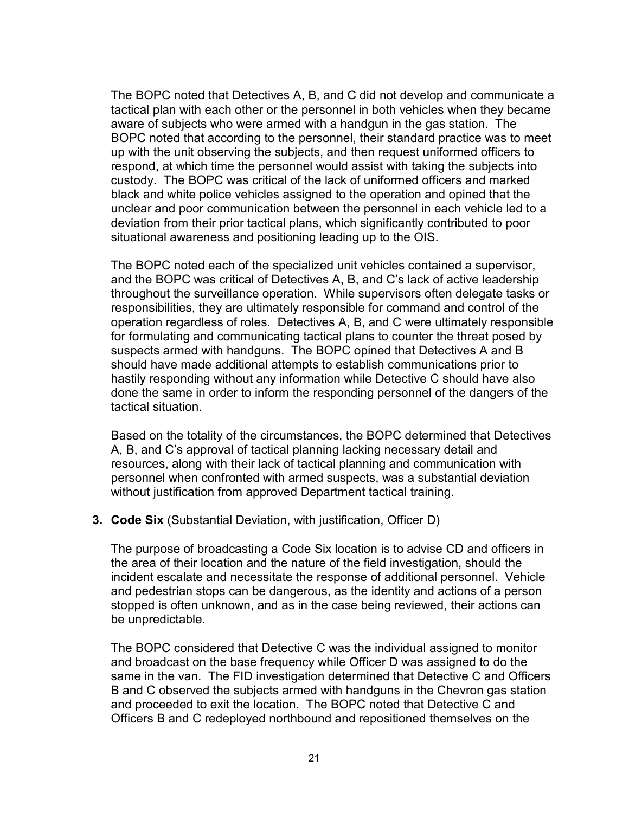The BOPC noted that Detectives A, B, and C did not develop and communicate a tactical plan with each other or the personnel in both vehicles when they became aware of subjects who were armed with a handgun in the gas station. The BOPC noted that according to the personnel, their standard practice was to meet up with the unit observing the subjects, and then request uniformed officers to respond, at which time the personnel would assist with taking the subjects into custody. The BOPC was critical of the lack of uniformed officers and marked black and white police vehicles assigned to the operation and opined that the unclear and poor communication between the personnel in each vehicle led to a deviation from their prior tactical plans, which significantly contributed to poor situational awareness and positioning leading up to the OIS.

The BOPC noted each of the specialized unit vehicles contained a supervisor, and the BOPC was critical of Detectives A, B, and C's lack of active leadership throughout the surveillance operation. While supervisors often delegate tasks or responsibilities, they are ultimately responsible for command and control of the operation regardless of roles. Detectives A, B, and C were ultimately responsible for formulating and communicating tactical plans to counter the threat posed by suspects armed with handguns. The BOPC opined that Detectives A and B should have made additional attempts to establish communications prior to hastily responding without any information while Detective C should have also done the same in order to inform the responding personnel of the dangers of the tactical situation.

Based on the totality of the circumstances, the BOPC determined that Detectives A, B, and C's approval of tactical planning lacking necessary detail and resources, along with their lack of tactical planning and communication with personnel when confronted with armed suspects, was a substantial deviation without justification from approved Department tactical training.

#### **3. Code Six** (Substantial Deviation, with justification, Officer D)

The purpose of broadcasting a Code Six location is to advise CD and officers in the area of their location and the nature of the field investigation, should the incident escalate and necessitate the response of additional personnel. Vehicle and pedestrian stops can be dangerous, as the identity and actions of a person stopped is often unknown, and as in the case being reviewed, their actions can be unpredictable.

The BOPC considered that Detective C was the individual assigned to monitor and broadcast on the base frequency while Officer D was assigned to do the same in the van. The FID investigation determined that Detective C and Officers B and C observed the subjects armed with handguns in the Chevron gas station and proceeded to exit the location. The BOPC noted that Detective C and Officers B and C redeployed northbound and repositioned themselves on the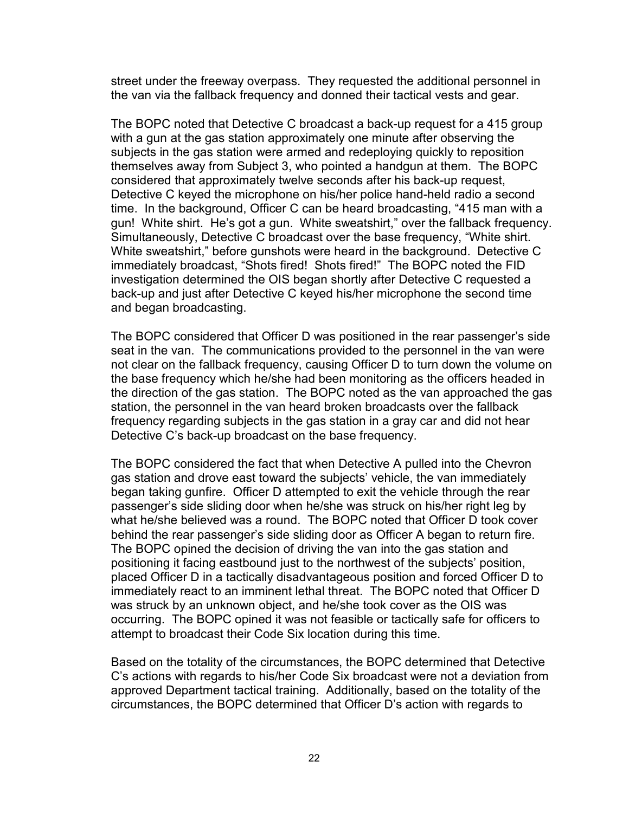street under the freeway overpass. They requested the additional personnel in the van via the fallback frequency and donned their tactical vests and gear.

The BOPC noted that Detective C broadcast a back-up request for a 415 group with a gun at the gas station approximately one minute after observing the subjects in the gas station were armed and redeploying quickly to reposition themselves away from Subject 3, who pointed a handgun at them. The BOPC considered that approximately twelve seconds after his back-up request, Detective C keyed the microphone on his/her police hand-held radio a second time. In the background, Officer C can be heard broadcasting, "415 man with a gun! White shirt. He's got a gun. White sweatshirt," over the fallback frequency. Simultaneously, Detective C broadcast over the base frequency, "White shirt. White sweatshirt," before gunshots were heard in the background. Detective C immediately broadcast, "Shots fired! Shots fired!" The BOPC noted the FID investigation determined the OIS began shortly after Detective C requested a back-up and just after Detective C keyed his/her microphone the second time and began broadcasting.

The BOPC considered that Officer D was positioned in the rear passenger's side seat in the van. The communications provided to the personnel in the van were not clear on the fallback frequency, causing Officer D to turn down the volume on the base frequency which he/she had been monitoring as the officers headed in the direction of the gas station. The BOPC noted as the van approached the gas station, the personnel in the van heard broken broadcasts over the fallback frequency regarding subjects in the gas station in a gray car and did not hear Detective C's back-up broadcast on the base frequency.

The BOPC considered the fact that when Detective A pulled into the Chevron gas station and drove east toward the subjects' vehicle, the van immediately began taking gunfire. Officer D attempted to exit the vehicle through the rear passenger's side sliding door when he/she was struck on his/her right leg by what he/she believed was a round. The BOPC noted that Officer D took cover behind the rear passenger's side sliding door as Officer A began to return fire. The BOPC opined the decision of driving the van into the gas station and positioning it facing eastbound just to the northwest of the subjects' position, placed Officer D in a tactically disadvantageous position and forced Officer D to immediately react to an imminent lethal threat. The BOPC noted that Officer D was struck by an unknown object, and he/she took cover as the OIS was occurring. The BOPC opined it was not feasible or tactically safe for officers to attempt to broadcast their Code Six location during this time.

Based on the totality of the circumstances, the BOPC determined that Detective C's actions with regards to his/her Code Six broadcast were not a deviation from approved Department tactical training. Additionally, based on the totality of the circumstances, the BOPC determined that Officer D's action with regards to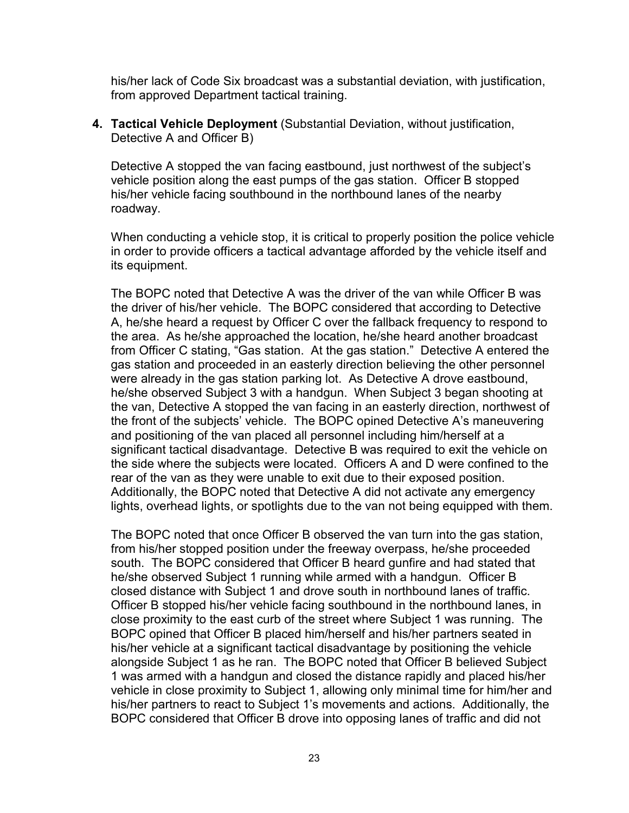his/her lack of Code Six broadcast was a substantial deviation, with justification, from approved Department tactical training.

**4. Tactical Vehicle Deployment** (Substantial Deviation, without justification, Detective A and Officer B)

Detective A stopped the van facing eastbound, just northwest of the subject's vehicle position along the east pumps of the gas station. Officer B stopped his/her vehicle facing southbound in the northbound lanes of the nearby roadway.

When conducting a vehicle stop, it is critical to properly position the police vehicle in order to provide officers a tactical advantage afforded by the vehicle itself and its equipment.

The BOPC noted that Detective A was the driver of the van while Officer B was the driver of his/her vehicle. The BOPC considered that according to Detective A, he/she heard a request by Officer C over the fallback frequency to respond to the area. As he/she approached the location, he/she heard another broadcast from Officer C stating, "Gas station. At the gas station." Detective A entered the gas station and proceeded in an easterly direction believing the other personnel were already in the gas station parking lot. As Detective A drove eastbound, he/she observed Subject 3 with a handgun. When Subject 3 began shooting at the van, Detective A stopped the van facing in an easterly direction, northwest of the front of the subjects' vehicle. The BOPC opined Detective A's maneuvering and positioning of the van placed all personnel including him/herself at a significant tactical disadvantage. Detective B was required to exit the vehicle on the side where the subjects were located. Officers A and D were confined to the rear of the van as they were unable to exit due to their exposed position. Additionally, the BOPC noted that Detective A did not activate any emergency lights, overhead lights, or spotlights due to the van not being equipped with them.

The BOPC noted that once Officer B observed the van turn into the gas station, from his/her stopped position under the freeway overpass, he/she proceeded south. The BOPC considered that Officer B heard gunfire and had stated that he/she observed Subject 1 running while armed with a handgun. Officer B closed distance with Subject 1 and drove south in northbound lanes of traffic. Officer B stopped his/her vehicle facing southbound in the northbound lanes, in close proximity to the east curb of the street where Subject 1 was running. The BOPC opined that Officer B placed him/herself and his/her partners seated in his/her vehicle at a significant tactical disadvantage by positioning the vehicle alongside Subject 1 as he ran. The BOPC noted that Officer B believed Subject 1 was armed with a handgun and closed the distance rapidly and placed his/her vehicle in close proximity to Subject 1, allowing only minimal time for him/her and his/her partners to react to Subject 1's movements and actions. Additionally, the BOPC considered that Officer B drove into opposing lanes of traffic and did not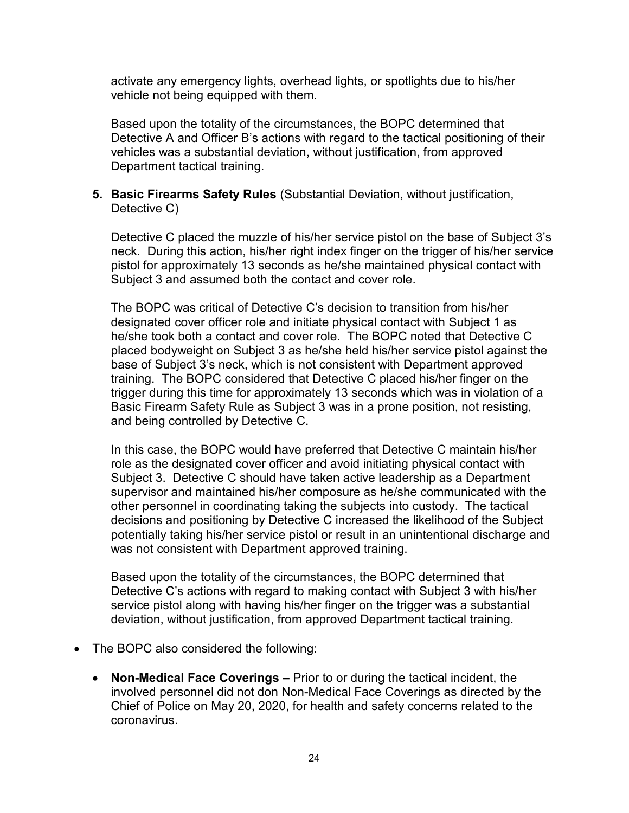activate any emergency lights, overhead lights, or spotlights due to his/her vehicle not being equipped with them.

Based upon the totality of the circumstances, the BOPC determined that Detective A and Officer B's actions with regard to the tactical positioning of their vehicles was a substantial deviation, without justification, from approved Department tactical training.

#### **5. Basic Firearms Safety Rules** (Substantial Deviation, without justification, Detective C)

Detective C placed the muzzle of his/her service pistol on the base of Subject 3's neck. During this action, his/her right index finger on the trigger of his/her service pistol for approximately 13 seconds as he/she maintained physical contact with Subject 3 and assumed both the contact and cover role.

The BOPC was critical of Detective C's decision to transition from his/her designated cover officer role and initiate physical contact with Subject 1 as he/she took both a contact and cover role. The BOPC noted that Detective C placed bodyweight on Subject 3 as he/she held his/her service pistol against the base of Subject 3's neck, which is not consistent with Department approved training. The BOPC considered that Detective C placed his/her finger on the trigger during this time for approximately 13 seconds which was in violation of a Basic Firearm Safety Rule as Subject 3 was in a prone position, not resisting, and being controlled by Detective C.

In this case, the BOPC would have preferred that Detective C maintain his/her role as the designated cover officer and avoid initiating physical contact with Subject 3. Detective C should have taken active leadership as a Department supervisor and maintained his/her composure as he/she communicated with the other personnel in coordinating taking the subjects into custody. The tactical decisions and positioning by Detective C increased the likelihood of the Subject potentially taking his/her service pistol or result in an unintentional discharge and was not consistent with Department approved training.

Based upon the totality of the circumstances, the BOPC determined that Detective C's actions with regard to making contact with Subject 3 with his/her service pistol along with having his/her finger on the trigger was a substantial deviation, without justification, from approved Department tactical training.

- The BOPC also considered the following:
	- **Non-Medical Face Coverings –** Prior to or during the tactical incident, the involved personnel did not don Non-Medical Face Coverings as directed by the Chief of Police on May 20, 2020, for health and safety concerns related to the coronavirus.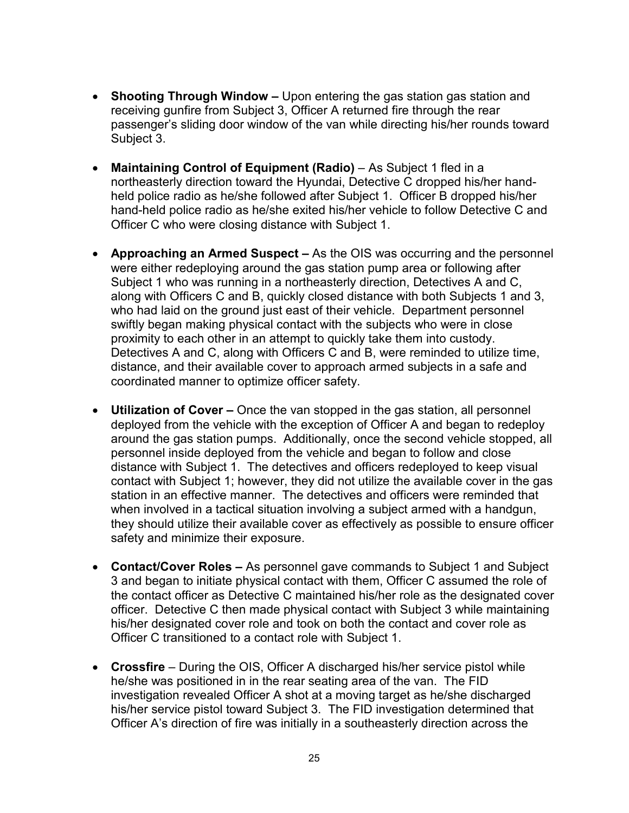- **Shooting Through Window –** Upon entering the gas station gas station and receiving gunfire from Subject 3, Officer A returned fire through the rear passenger's sliding door window of the van while directing his/her rounds toward Subject 3.
- **Maintaining Control of Equipment (Radio)** As Subject 1 fled in a northeasterly direction toward the Hyundai, Detective C dropped his/her handheld police radio as he/she followed after Subject 1. Officer B dropped his/her hand-held police radio as he/she exited his/her vehicle to follow Detective C and Officer C who were closing distance with Subject 1.
- **Approaching an Armed Suspect –** As the OIS was occurring and the personnel were either redeploying around the gas station pump area or following after Subject 1 who was running in a northeasterly direction, Detectives A and C, along with Officers C and B, quickly closed distance with both Subjects 1 and 3, who had laid on the ground just east of their vehicle. Department personnel swiftly began making physical contact with the subjects who were in close proximity to each other in an attempt to quickly take them into custody. Detectives A and C, along with Officers C and B, were reminded to utilize time, distance, and their available cover to approach armed subjects in a safe and coordinated manner to optimize officer safety.
- **Utilization of Cover –** Once the van stopped in the gas station, all personnel deployed from the vehicle with the exception of Officer A and began to redeploy around the gas station pumps. Additionally, once the second vehicle stopped, all personnel inside deployed from the vehicle and began to follow and close distance with Subject 1. The detectives and officers redeployed to keep visual contact with Subject 1; however, they did not utilize the available cover in the gas station in an effective manner. The detectives and officers were reminded that when involved in a tactical situation involving a subject armed with a handgun, they should utilize their available cover as effectively as possible to ensure officer safety and minimize their exposure.
- **Contact/Cover Roles –** As personnel gave commands to Subject 1 and Subject 3 and began to initiate physical contact with them, Officer C assumed the role of the contact officer as Detective C maintained his/her role as the designated cover officer. Detective C then made physical contact with Subject 3 while maintaining his/her designated cover role and took on both the contact and cover role as Officer C transitioned to a contact role with Subject 1.
- **Crossfire** During the OIS, Officer A discharged his/her service pistol while he/she was positioned in in the rear seating area of the van. The FID investigation revealed Officer A shot at a moving target as he/she discharged his/her service pistol toward Subject 3. The FID investigation determined that Officer A's direction of fire was initially in a southeasterly direction across the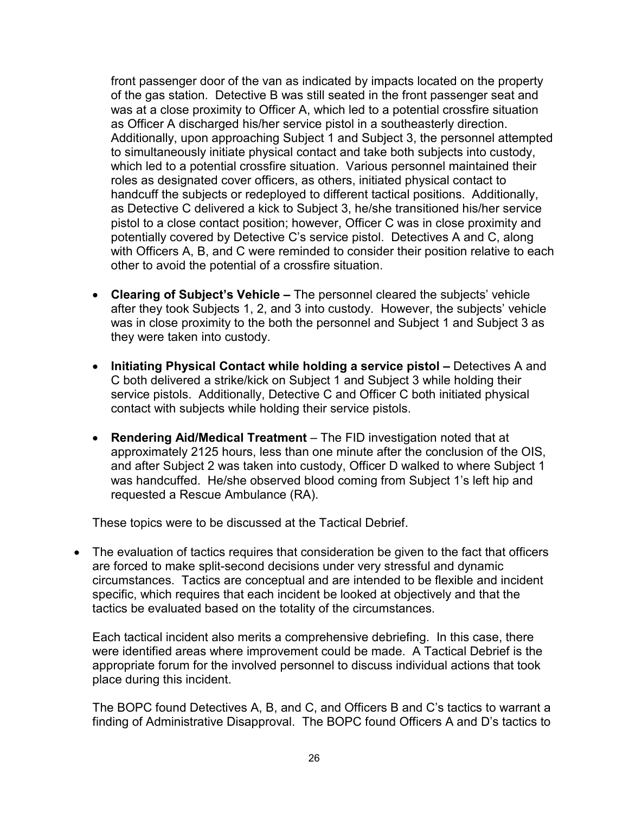front passenger door of the van as indicated by impacts located on the property of the gas station. Detective B was still seated in the front passenger seat and was at a close proximity to Officer A, which led to a potential crossfire situation as Officer A discharged his/her service pistol in a southeasterly direction. Additionally, upon approaching Subject 1 and Subject 3, the personnel attempted to simultaneously initiate physical contact and take both subjects into custody, which led to a potential crossfire situation. Various personnel maintained their roles as designated cover officers, as others, initiated physical contact to handcuff the subjects or redeployed to different tactical positions. Additionally, as Detective C delivered a kick to Subject 3, he/she transitioned his/her service pistol to a close contact position; however, Officer C was in close proximity and potentially covered by Detective C's service pistol. Detectives A and C, along with Officers A, B, and C were reminded to consider their position relative to each other to avoid the potential of a crossfire situation.

- **Clearing of Subject's Vehicle –** The personnel cleared the subjects' vehicle after they took Subjects 1, 2, and 3 into custody. However, the subjects' vehicle was in close proximity to the both the personnel and Subject 1 and Subject 3 as they were taken into custody.
- **Initiating Physical Contact while holding a service pistol –** Detectives A and C both delivered a strike/kick on Subject 1 and Subject 3 while holding their service pistols. Additionally, Detective C and Officer C both initiated physical contact with subjects while holding their service pistols.
- **Rendering Aid/Medical Treatment**  The FID investigation noted that at approximately 2125 hours, less than one minute after the conclusion of the OIS, and after Subject 2 was taken into custody, Officer D walked to where Subject 1 was handcuffed. He/she observed blood coming from Subject 1's left hip and requested a Rescue Ambulance (RA).

These topics were to be discussed at the Tactical Debrief.

• The evaluation of tactics requires that consideration be given to the fact that officers are forced to make split-second decisions under very stressful and dynamic circumstances. Tactics are conceptual and are intended to be flexible and incident specific, which requires that each incident be looked at objectively and that the tactics be evaluated based on the totality of the circumstances.

Each tactical incident also merits a comprehensive debriefing. In this case, there were identified areas where improvement could be made. A Tactical Debrief is the appropriate forum for the involved personnel to discuss individual actions that took place during this incident.

The BOPC found Detectives A, B, and C, and Officers B and C's tactics to warrant a finding of Administrative Disapproval. The BOPC found Officers A and D's tactics to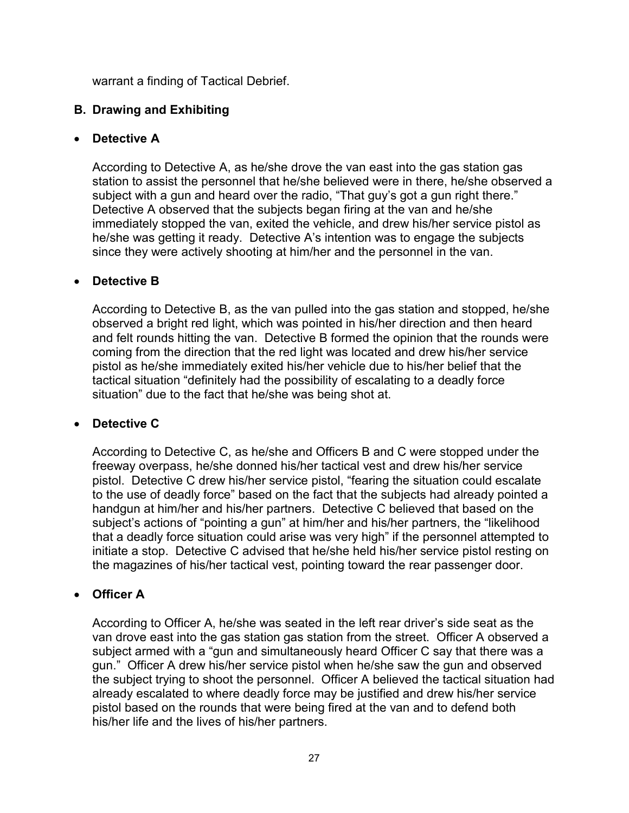warrant a finding of Tactical Debrief.

## **B. Drawing and Exhibiting**

#### • **Detective A**

According to Detective A, as he/she drove the van east into the gas station gas station to assist the personnel that he/she believed were in there, he/she observed a subject with a gun and heard over the radio, "That guy's got a gun right there." Detective A observed that the subjects began firing at the van and he/she immediately stopped the van, exited the vehicle, and drew his/her service pistol as he/she was getting it ready. Detective A's intention was to engage the subjects since they were actively shooting at him/her and the personnel in the van.

### • **Detective B**

According to Detective B, as the van pulled into the gas station and stopped, he/she observed a bright red light, which was pointed in his/her direction and then heard and felt rounds hitting the van. Detective B formed the opinion that the rounds were coming from the direction that the red light was located and drew his/her service pistol as he/she immediately exited his/her vehicle due to his/her belief that the tactical situation "definitely had the possibility of escalating to a deadly force situation" due to the fact that he/she was being shot at.

### • **Detective C**

According to Detective C, as he/she and Officers B and C were stopped under the freeway overpass, he/she donned his/her tactical vest and drew his/her service pistol. Detective C drew his/her service pistol, "fearing the situation could escalate to the use of deadly force" based on the fact that the subjects had already pointed a handgun at him/her and his/her partners. Detective C believed that based on the subject's actions of "pointing a gun" at him/her and his/her partners, the "likelihood that a deadly force situation could arise was very high" if the personnel attempted to initiate a stop. Detective C advised that he/she held his/her service pistol resting on the magazines of his/her tactical vest, pointing toward the rear passenger door.

### • **Officer A**

According to Officer A, he/she was seated in the left rear driver's side seat as the van drove east into the gas station gas station from the street. Officer A observed a subject armed with a "gun and simultaneously heard Officer C say that there was a gun." Officer A drew his/her service pistol when he/she saw the gun and observed the subject trying to shoot the personnel. Officer A believed the tactical situation had already escalated to where deadly force may be justified and drew his/her service pistol based on the rounds that were being fired at the van and to defend both his/her life and the lives of his/her partners.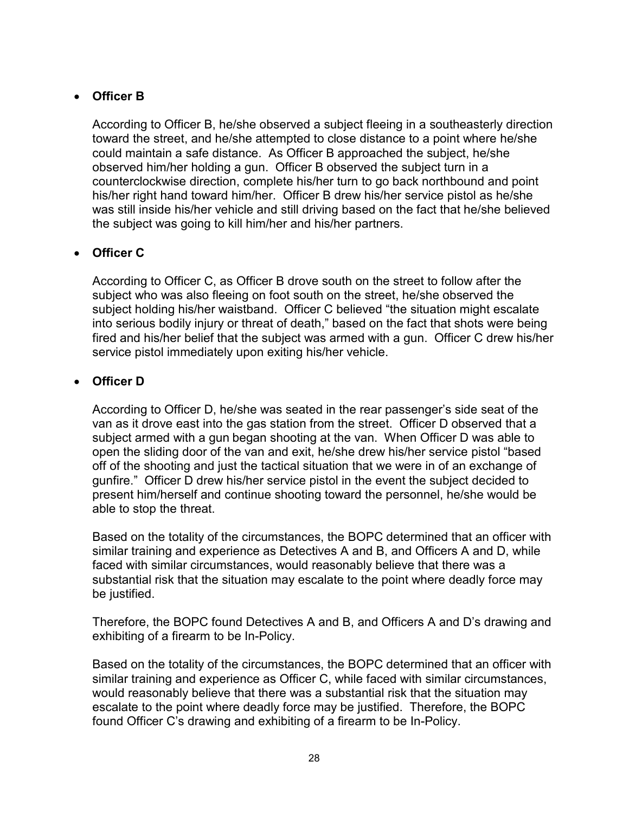## • **Officer B**

According to Officer B, he/she observed a subject fleeing in a southeasterly direction toward the street, and he/she attempted to close distance to a point where he/she could maintain a safe distance. As Officer B approached the subject, he/she observed him/her holding a gun. Officer B observed the subject turn in a counterclockwise direction, complete his/her turn to go back northbound and point his/her right hand toward him/her. Officer B drew his/her service pistol as he/she was still inside his/her vehicle and still driving based on the fact that he/she believed the subject was going to kill him/her and his/her partners.

# • **Officer C**

According to Officer C, as Officer B drove south on the street to follow after the subject who was also fleeing on foot south on the street, he/she observed the subject holding his/her waistband. Officer C believed "the situation might escalate into serious bodily injury or threat of death," based on the fact that shots were being fired and his/her belief that the subject was armed with a gun. Officer C drew his/her service pistol immediately upon exiting his/her vehicle.

## • **Officer D**

According to Officer D, he/she was seated in the rear passenger's side seat of the van as it drove east into the gas station from the street. Officer D observed that a subject armed with a gun began shooting at the van. When Officer D was able to open the sliding door of the van and exit, he/she drew his/her service pistol "based off of the shooting and just the tactical situation that we were in of an exchange of gunfire." Officer D drew his/her service pistol in the event the subject decided to present him/herself and continue shooting toward the personnel, he/she would be able to stop the threat.

Based on the totality of the circumstances, the BOPC determined that an officer with similar training and experience as Detectives A and B, and Officers A and D, while faced with similar circumstances, would reasonably believe that there was a substantial risk that the situation may escalate to the point where deadly force may be justified.

Therefore, the BOPC found Detectives A and B, and Officers A and D's drawing and exhibiting of a firearm to be In-Policy.

Based on the totality of the circumstances, the BOPC determined that an officer with similar training and experience as Officer C, while faced with similar circumstances, would reasonably believe that there was a substantial risk that the situation may escalate to the point where deadly force may be justified. Therefore, the BOPC found Officer C's drawing and exhibiting of a firearm to be In-Policy.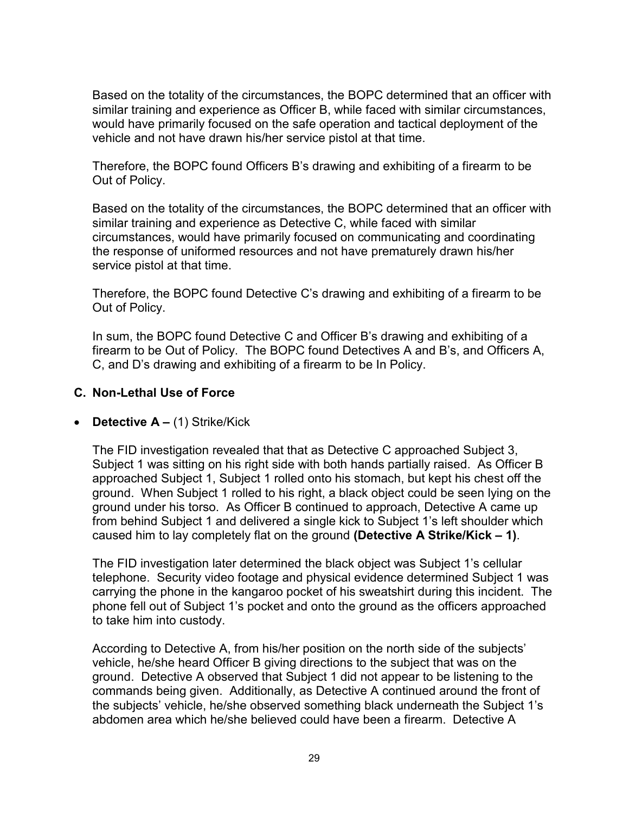Based on the totality of the circumstances, the BOPC determined that an officer with similar training and experience as Officer B, while faced with similar circumstances, would have primarily focused on the safe operation and tactical deployment of the vehicle and not have drawn his/her service pistol at that time.

Therefore, the BOPC found Officers B's drawing and exhibiting of a firearm to be Out of Policy.

Based on the totality of the circumstances, the BOPC determined that an officer with similar training and experience as Detective C, while faced with similar circumstances, would have primarily focused on communicating and coordinating the response of uniformed resources and not have prematurely drawn his/her service pistol at that time.

Therefore, the BOPC found Detective C's drawing and exhibiting of a firearm to be Out of Policy.

In sum, the BOPC found Detective C and Officer B's drawing and exhibiting of a firearm to be Out of Policy. The BOPC found Detectives A and B's, and Officers A, C, and D's drawing and exhibiting of a firearm to be In Policy.

### **C. Non-Lethal Use of Force**

### • **Detective A –** (1) Strike/Kick

The FID investigation revealed that that as Detective C approached Subject 3, Subject 1 was sitting on his right side with both hands partially raised. As Officer B approached Subject 1, Subject 1 rolled onto his stomach, but kept his chest off the ground. When Subject 1 rolled to his right, a black object could be seen lying on the ground under his torso. As Officer B continued to approach, Detective A came up from behind Subject 1 and delivered a single kick to Subject 1's left shoulder which caused him to lay completely flat on the ground **(Detective A Strike/Kick – 1)**.

The FID investigation later determined the black object was Subject 1's cellular telephone. Security video footage and physical evidence determined Subject 1 was carrying the phone in the kangaroo pocket of his sweatshirt during this incident. The phone fell out of Subject 1's pocket and onto the ground as the officers approached to take him into custody.

According to Detective A, from his/her position on the north side of the subjects' vehicle, he/she heard Officer B giving directions to the subject that was on the ground. Detective A observed that Subject 1 did not appear to be listening to the commands being given. Additionally, as Detective A continued around the front of the subjects' vehicle, he/she observed something black underneath the Subject 1's abdomen area which he/she believed could have been a firearm. Detective A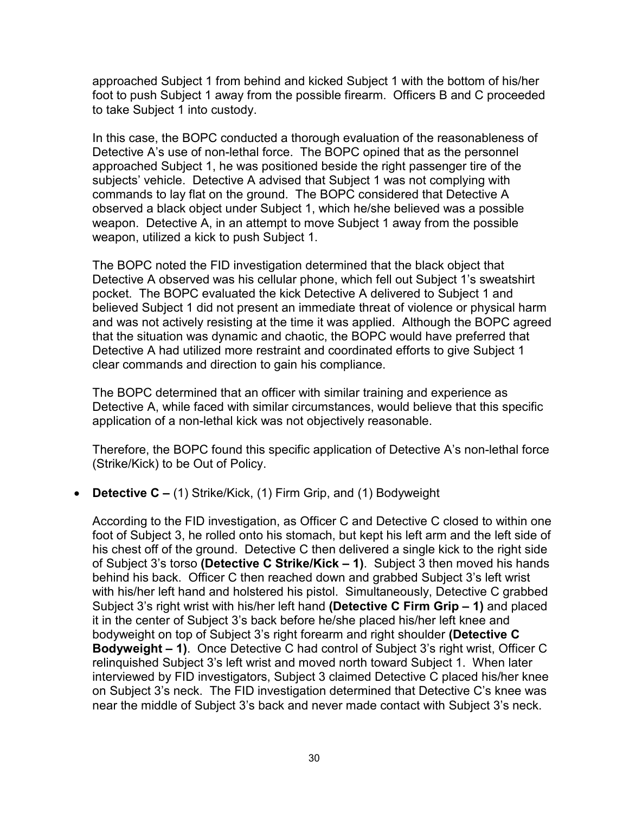approached Subject 1 from behind and kicked Subject 1 with the bottom of his/her foot to push Subject 1 away from the possible firearm. Officers B and C proceeded to take Subject 1 into custody.

In this case, the BOPC conducted a thorough evaluation of the reasonableness of Detective A's use of non-lethal force. The BOPC opined that as the personnel approached Subject 1, he was positioned beside the right passenger tire of the subjects' vehicle. Detective A advised that Subject 1 was not complying with commands to lay flat on the ground. The BOPC considered that Detective A observed a black object under Subject 1, which he/she believed was a possible weapon. Detective A, in an attempt to move Subject 1 away from the possible weapon, utilized a kick to push Subject 1.

The BOPC noted the FID investigation determined that the black object that Detective A observed was his cellular phone, which fell out Subject 1's sweatshirt pocket. The BOPC evaluated the kick Detective A delivered to Subject 1 and believed Subject 1 did not present an immediate threat of violence or physical harm and was not actively resisting at the time it was applied. Although the BOPC agreed that the situation was dynamic and chaotic, the BOPC would have preferred that Detective A had utilized more restraint and coordinated efforts to give Subject 1 clear commands and direction to gain his compliance.

The BOPC determined that an officer with similar training and experience as Detective A, while faced with similar circumstances, would believe that this specific application of a non-lethal kick was not objectively reasonable.

Therefore, the BOPC found this specific application of Detective A's non-lethal force (Strike/Kick) to be Out of Policy.

### • **Detective C –** (1) Strike/Kick, (1) Firm Grip, and (1) Bodyweight

According to the FID investigation, as Officer C and Detective C closed to within one foot of Subject 3, he rolled onto his stomach, but kept his left arm and the left side of his chest off of the ground. Detective C then delivered a single kick to the right side of Subject 3's torso **(Detective C Strike/Kick – 1)**. Subject 3 then moved his hands behind his back. Officer C then reached down and grabbed Subject 3's left wrist with his/her left hand and holstered his pistol. Simultaneously, Detective C grabbed Subject 3's right wrist with his/her left hand **(Detective C Firm Grip – 1)** and placed it in the center of Subject 3's back before he/she placed his/her left knee and bodyweight on top of Subject 3's right forearm and right shoulder **(Detective C Bodyweight – 1)**. Once Detective C had control of Subject 3's right wrist, Officer C relinquished Subject 3's left wrist and moved north toward Subject 1. When later interviewed by FID investigators, Subject 3 claimed Detective C placed his/her knee on Subject 3's neck. The FID investigation determined that Detective C's knee was near the middle of Subject 3's back and never made contact with Subject 3's neck.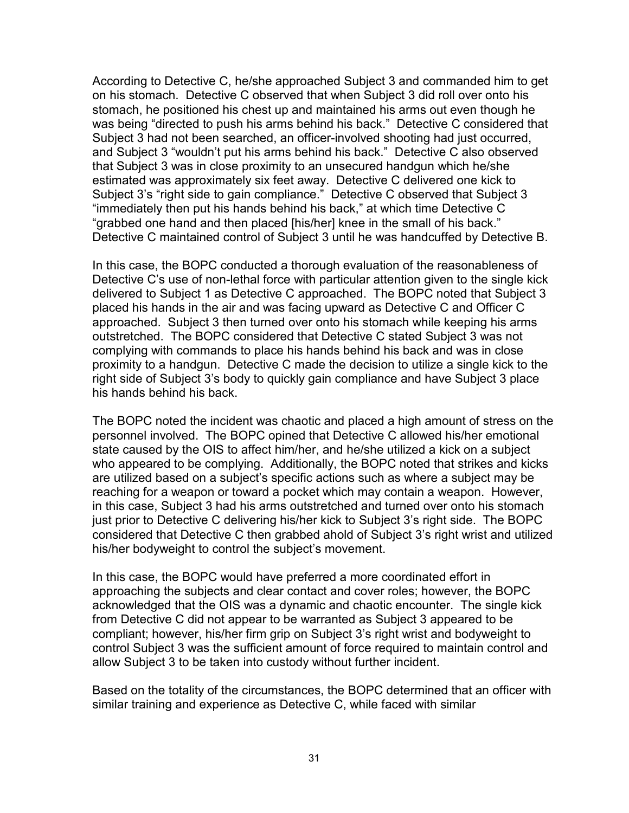According to Detective C, he/she approached Subject 3 and commanded him to get on his stomach. Detective C observed that when Subject 3 did roll over onto his stomach, he positioned his chest up and maintained his arms out even though he was being "directed to push his arms behind his back." Detective C considered that Subject 3 had not been searched, an officer-involved shooting had just occurred, and Subject 3 "wouldn't put his arms behind his back." Detective C also observed that Subject 3 was in close proximity to an unsecured handgun which he/she estimated was approximately six feet away. Detective C delivered one kick to Subject 3's "right side to gain compliance." Detective C observed that Subject 3 "immediately then put his hands behind his back," at which time Detective C "grabbed one hand and then placed [his/her] knee in the small of his back." Detective C maintained control of Subject 3 until he was handcuffed by Detective B.

In this case, the BOPC conducted a thorough evaluation of the reasonableness of Detective C's use of non-lethal force with particular attention given to the single kick delivered to Subject 1 as Detective C approached. The BOPC noted that Subject 3 placed his hands in the air and was facing upward as Detective C and Officer C approached. Subject 3 then turned over onto his stomach while keeping his arms outstretched. The BOPC considered that Detective C stated Subject 3 was not complying with commands to place his hands behind his back and was in close proximity to a handgun. Detective C made the decision to utilize a single kick to the right side of Subject 3's body to quickly gain compliance and have Subject 3 place his hands behind his back.

The BOPC noted the incident was chaotic and placed a high amount of stress on the personnel involved. The BOPC opined that Detective C allowed his/her emotional state caused by the OIS to affect him/her, and he/she utilized a kick on a subject who appeared to be complying. Additionally, the BOPC noted that strikes and kicks are utilized based on a subject's specific actions such as where a subject may be reaching for a weapon or toward a pocket which may contain a weapon. However, in this case, Subject 3 had his arms outstretched and turned over onto his stomach just prior to Detective C delivering his/her kick to Subject 3's right side. The BOPC considered that Detective C then grabbed ahold of Subject 3's right wrist and utilized his/her bodyweight to control the subject's movement.

In this case, the BOPC would have preferred a more coordinated effort in approaching the subjects and clear contact and cover roles; however, the BOPC acknowledged that the OIS was a dynamic and chaotic encounter. The single kick from Detective C did not appear to be warranted as Subject 3 appeared to be compliant; however, his/her firm grip on Subject 3's right wrist and bodyweight to control Subject 3 was the sufficient amount of force required to maintain control and allow Subject 3 to be taken into custody without further incident.

Based on the totality of the circumstances, the BOPC determined that an officer with similar training and experience as Detective C, while faced with similar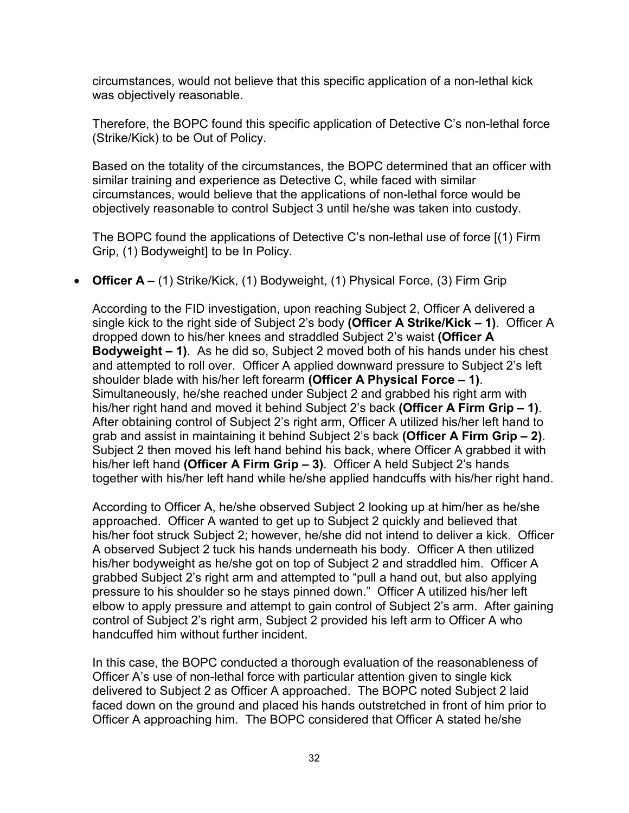circumstances, would not believe that this specific application of a non-lethal kick was objectively reasonable.

Therefore, the BOPC found this specific application of Detective C's non-lethal force (Strike/Kick) to be Out of Policy.

Based on the totality of the circumstances, the BOPC determined that an officer with similar training and experience as Detective C, while faced with similar circumstances, would believe that the applications of non-lethal force would be objectively reasonable to control Subject 3 until he/she was taken into custody.

The BOPC found the applications of Detective C's non-lethal use of force [(1) Firm Grip, (1) Bodyweight] to be In Policy.

• **Officer A –** (1) Strike/Kick, (1) Bodyweight, (1) Physical Force, (3) Firm Grip

According to the FID investigation, upon reaching Subject 2, Officer A delivered a single kick to the right side of Subject 2's body **(Officer A Strike/Kick – 1)**. Officer A dropped down to his/her knees and straddled Subject 2's waist **(Officer A Bodyweight – 1)**. As he did so, Subject 2 moved both of his hands under his chest and attempted to roll over. Officer A applied downward pressure to Subject 2's left shoulder blade with his/her left forearm **(Officer A Physical Force – 1)**. Simultaneously, he/she reached under Subject 2 and grabbed his right arm with his/her right hand and moved it behind Subject 2's back **(Officer A Firm Grip – 1)**. After obtaining control of Subject 2's right arm, Officer A utilized his/her left hand to grab and assist in maintaining it behind Subject 2's back **(Officer A Firm Grip – 2)**. Subject 2 then moved his left hand behind his back, where Officer A grabbed it with his/her left hand **(Officer A Firm Grip – 3)**. Officer A held Subject 2's hands together with his/her left hand while he/she applied handcuffs with his/her right hand.

According to Officer A, he/she observed Subject 2 looking up at him/her as he/she approached. Officer A wanted to get up to Subject 2 quickly and believed that his/her foot struck Subject 2; however, he/she did not intend to deliver a kick. Officer A observed Subject 2 tuck his hands underneath his body. Officer A then utilized his/her bodyweight as he/she got on top of Subject 2 and straddled him. Officer A grabbed Subject 2's right arm and attempted to "pull a hand out, but also applying pressure to his shoulder so he stays pinned down." Officer A utilized his/her left elbow to apply pressure and attempt to gain control of Subject 2's arm. After gaining control of Subject 2's right arm, Subject 2 provided his left arm to Officer A who handcuffed him without further incident.

In this case, the BOPC conducted a thorough evaluation of the reasonableness of Officer A's use of non-lethal force with particular attention given to single kick delivered to Subject 2 as Officer A approached. The BOPC noted Subject 2 laid faced down on the ground and placed his hands outstretched in front of him prior to Officer A approaching him. The BOPC considered that Officer A stated he/she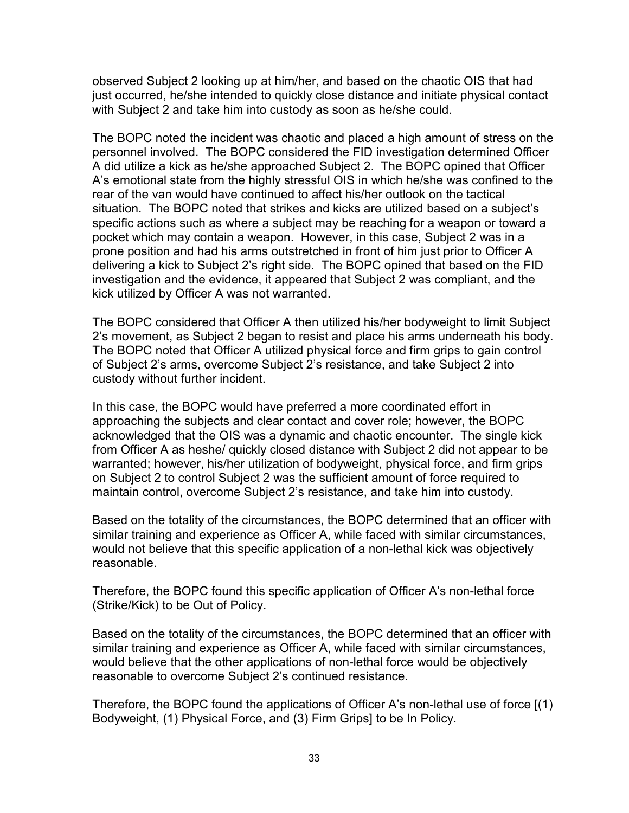observed Subject 2 looking up at him/her, and based on the chaotic OIS that had just occurred, he/she intended to quickly close distance and initiate physical contact with Subject 2 and take him into custody as soon as he/she could.

The BOPC noted the incident was chaotic and placed a high amount of stress on the personnel involved. The BOPC considered the FID investigation determined Officer A did utilize a kick as he/she approached Subject 2. The BOPC opined that Officer A's emotional state from the highly stressful OIS in which he/she was confined to the rear of the van would have continued to affect his/her outlook on the tactical situation. The BOPC noted that strikes and kicks are utilized based on a subject's specific actions such as where a subject may be reaching for a weapon or toward a pocket which may contain a weapon. However, in this case, Subject 2 was in a prone position and had his arms outstretched in front of him just prior to Officer A delivering a kick to Subject 2's right side. The BOPC opined that based on the FID investigation and the evidence, it appeared that Subject 2 was compliant, and the kick utilized by Officer A was not warranted.

The BOPC considered that Officer A then utilized his/her bodyweight to limit Subject 2's movement, as Subject 2 began to resist and place his arms underneath his body. The BOPC noted that Officer A utilized physical force and firm grips to gain control of Subject 2's arms, overcome Subject 2's resistance, and take Subject 2 into custody without further incident.

In this case, the BOPC would have preferred a more coordinated effort in approaching the subjects and clear contact and cover role; however, the BOPC acknowledged that the OIS was a dynamic and chaotic encounter. The single kick from Officer A as heshe/ quickly closed distance with Subject 2 did not appear to be warranted; however, his/her utilization of bodyweight, physical force, and firm grips on Subject 2 to control Subject 2 was the sufficient amount of force required to maintain control, overcome Subject 2's resistance, and take him into custody.

Based on the totality of the circumstances, the BOPC determined that an officer with similar training and experience as Officer A, while faced with similar circumstances, would not believe that this specific application of a non-lethal kick was objectively reasonable.

Therefore, the BOPC found this specific application of Officer A's non-lethal force (Strike/Kick) to be Out of Policy.

Based on the totality of the circumstances, the BOPC determined that an officer with similar training and experience as Officer A, while faced with similar circumstances, would believe that the other applications of non-lethal force would be objectively reasonable to overcome Subject 2's continued resistance.

Therefore, the BOPC found the applications of Officer A's non-lethal use of force [(1) Bodyweight, (1) Physical Force, and (3) Firm Grips] to be In Policy.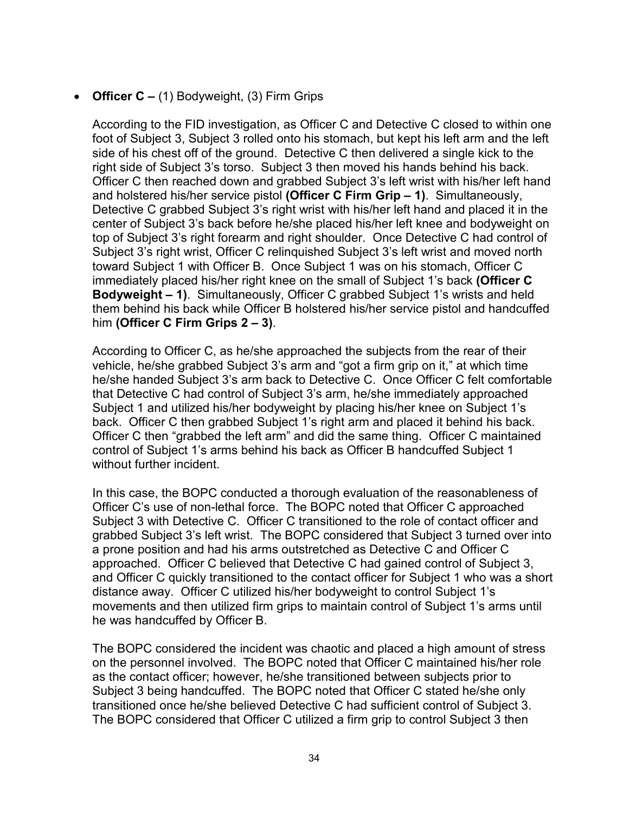## • **Officer C –** (1) Bodyweight, (3) Firm Grips

According to the FID investigation, as Officer C and Detective C closed to within one foot of Subject 3, Subject 3 rolled onto his stomach, but kept his left arm and the left side of his chest off of the ground. Detective C then delivered a single kick to the right side of Subject 3's torso. Subject 3 then moved his hands behind his back. Officer C then reached down and grabbed Subject 3's left wrist with his/her left hand and holstered his/her service pistol **(Officer C Firm Grip – 1)**. Simultaneously, Detective C grabbed Subject 3's right wrist with his/her left hand and placed it in the center of Subject 3's back before he/she placed his/her left knee and bodyweight on top of Subject 3's right forearm and right shoulder. Once Detective C had control of Subject 3's right wrist, Officer C relinquished Subject 3's left wrist and moved north toward Subject 1 with Officer B. Once Subject 1 was on his stomach, Officer C immediately placed his/her right knee on the small of Subject 1's back **(Officer C Bodyweight – 1)**. Simultaneously, Officer C grabbed Subject 1's wrists and held them behind his back while Officer B holstered his/her service pistol and handcuffed him **(Officer C Firm Grips 2 – 3)**.

According to Officer C, as he/she approached the subjects from the rear of their vehicle, he/she grabbed Subject 3's arm and "got a firm grip on it," at which time he/she handed Subject 3's arm back to Detective C. Once Officer C felt comfortable that Detective C had control of Subject 3's arm, he/she immediately approached Subject 1 and utilized his/her bodyweight by placing his/her knee on Subject 1's back. Officer C then grabbed Subject 1's right arm and placed it behind his back. Officer C then "grabbed the left arm" and did the same thing. Officer C maintained control of Subject 1's arms behind his back as Officer B handcuffed Subject 1 without further incident.

In this case, the BOPC conducted a thorough evaluation of the reasonableness of Officer C's use of non-lethal force. The BOPC noted that Officer C approached Subject 3 with Detective C. Officer C transitioned to the role of contact officer and grabbed Subject 3's left wrist. The BOPC considered that Subject 3 turned over into a prone position and had his arms outstretched as Detective C and Officer C approached. Officer C believed that Detective C had gained control of Subject 3, and Officer C quickly transitioned to the contact officer for Subject 1 who was a short distance away. Officer C utilized his/her bodyweight to control Subject 1's movements and then utilized firm grips to maintain control of Subject 1's arms until he was handcuffed by Officer B.

The BOPC considered the incident was chaotic and placed a high amount of stress on the personnel involved. The BOPC noted that Officer C maintained his/her role as the contact officer; however, he/she transitioned between subjects prior to Subject 3 being handcuffed. The BOPC noted that Officer C stated he/she only transitioned once he/she believed Detective C had sufficient control of Subject 3. The BOPC considered that Officer C utilized a firm grip to control Subject 3 then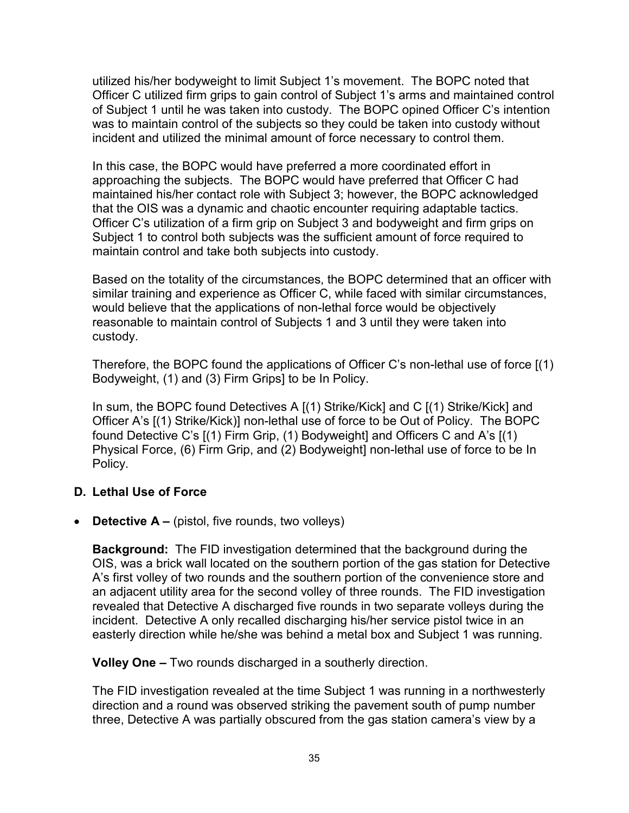utilized his/her bodyweight to limit Subject 1's movement. The BOPC noted that Officer C utilized firm grips to gain control of Subject 1's arms and maintained control of Subject 1 until he was taken into custody. The BOPC opined Officer C's intention was to maintain control of the subjects so they could be taken into custody without incident and utilized the minimal amount of force necessary to control them.

In this case, the BOPC would have preferred a more coordinated effort in approaching the subjects. The BOPC would have preferred that Officer C had maintained his/her contact role with Subject 3; however, the BOPC acknowledged that the OIS was a dynamic and chaotic encounter requiring adaptable tactics. Officer C's utilization of a firm grip on Subject 3 and bodyweight and firm grips on Subject 1 to control both subjects was the sufficient amount of force required to maintain control and take both subjects into custody.

Based on the totality of the circumstances, the BOPC determined that an officer with similar training and experience as Officer C, while faced with similar circumstances, would believe that the applications of non-lethal force would be objectively reasonable to maintain control of Subjects 1 and 3 until they were taken into custody.

Therefore, the BOPC found the applications of Officer C's non-lethal use of force [(1) Bodyweight, (1) and (3) Firm Grips] to be In Policy.

In sum, the BOPC found Detectives A [(1) Strike/Kick] and C [(1) Strike/Kick] and Officer A's [(1) Strike/Kick)] non-lethal use of force to be Out of Policy. The BOPC found Detective C's [(1) Firm Grip, (1) Bodyweight] and Officers C and A's [(1) Physical Force, (6) Firm Grip, and (2) Bodyweight] non-lethal use of force to be In Policy.

### **D. Lethal Use of Force**

• **Detective A –** (pistol, five rounds, two volleys)

**Background:** The FID investigation determined that the background during the OIS, was a brick wall located on the southern portion of the gas station for Detective A's first volley of two rounds and the southern portion of the convenience store and an adjacent utility area for the second volley of three rounds. The FID investigation revealed that Detective A discharged five rounds in two separate volleys during the incident. Detective A only recalled discharging his/her service pistol twice in an easterly direction while he/she was behind a metal box and Subject 1 was running.

**Volley One –** Two rounds discharged in a southerly direction.

The FID investigation revealed at the time Subject 1 was running in a northwesterly direction and a round was observed striking the pavement south of pump number three, Detective A was partially obscured from the gas station camera's view by a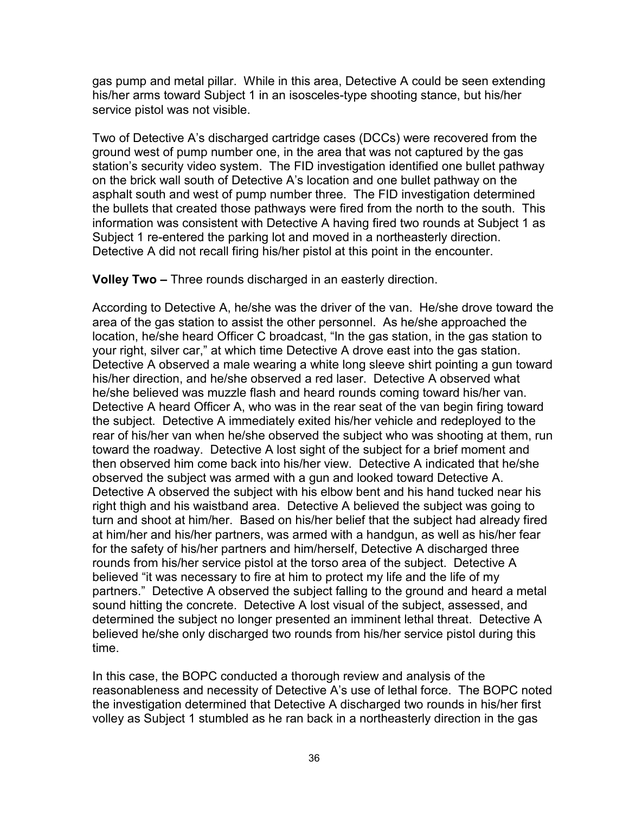gas pump and metal pillar. While in this area, Detective A could be seen extending his/her arms toward Subject 1 in an isosceles-type shooting stance, but his/her service pistol was not visible.

Two of Detective A's discharged cartridge cases (DCCs) were recovered from the ground west of pump number one, in the area that was not captured by the gas station's security video system. The FID investigation identified one bullet pathway on the brick wall south of Detective A's location and one bullet pathway on the asphalt south and west of pump number three. The FID investigation determined the bullets that created those pathways were fired from the north to the south. This information was consistent with Detective A having fired two rounds at Subject 1 as Subject 1 re-entered the parking lot and moved in a northeasterly direction. Detective A did not recall firing his/her pistol at this point in the encounter.

**Volley Two –** Three rounds discharged in an easterly direction.

According to Detective A, he/she was the driver of the van. He/she drove toward the area of the gas station to assist the other personnel. As he/she approached the location, he/she heard Officer C broadcast, "In the gas station, in the gas station to your right, silver car," at which time Detective A drove east into the gas station. Detective A observed a male wearing a white long sleeve shirt pointing a gun toward his/her direction, and he/she observed a red laser. Detective A observed what he/she believed was muzzle flash and heard rounds coming toward his/her van. Detective A heard Officer A, who was in the rear seat of the van begin firing toward the subject. Detective A immediately exited his/her vehicle and redeployed to the rear of his/her van when he/she observed the subject who was shooting at them, run toward the roadway. Detective A lost sight of the subject for a brief moment and then observed him come back into his/her view. Detective A indicated that he/she observed the subject was armed with a gun and looked toward Detective A. Detective A observed the subject with his elbow bent and his hand tucked near his right thigh and his waistband area. Detective A believed the subject was going to turn and shoot at him/her. Based on his/her belief that the subject had already fired at him/her and his/her partners, was armed with a handgun, as well as his/her fear for the safety of his/her partners and him/herself, Detective A discharged three rounds from his/her service pistol at the torso area of the subject. Detective A believed "it was necessary to fire at him to protect my life and the life of my partners." Detective A observed the subject falling to the ground and heard a metal sound hitting the concrete. Detective A lost visual of the subject, assessed, and determined the subject no longer presented an imminent lethal threat. Detective A believed he/she only discharged two rounds from his/her service pistol during this time.

In this case, the BOPC conducted a thorough review and analysis of the reasonableness and necessity of Detective A's use of lethal force. The BOPC noted the investigation determined that Detective A discharged two rounds in his/her first volley as Subject 1 stumbled as he ran back in a northeasterly direction in the gas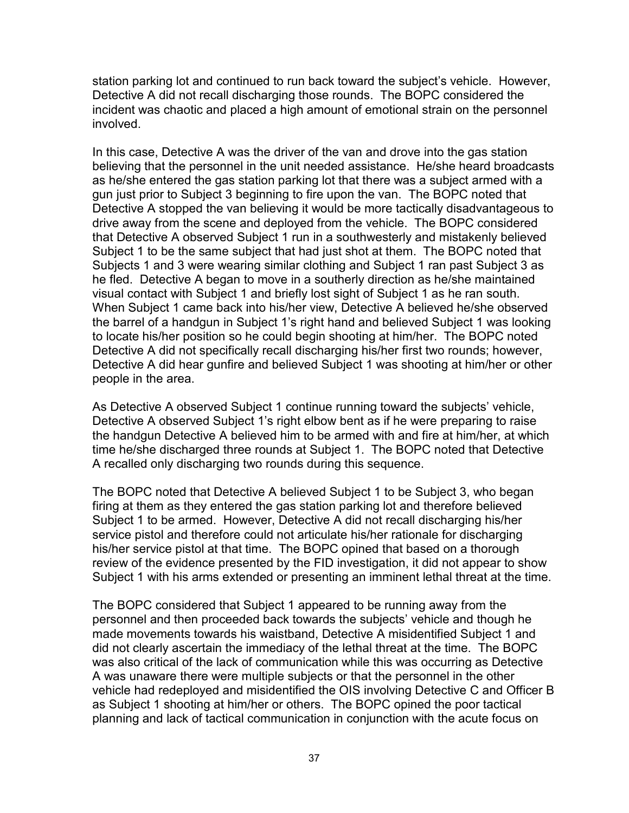station parking lot and continued to run back toward the subject's vehicle. However, Detective A did not recall discharging those rounds. The BOPC considered the incident was chaotic and placed a high amount of emotional strain on the personnel involved.

In this case, Detective A was the driver of the van and drove into the gas station believing that the personnel in the unit needed assistance. He/she heard broadcasts as he/she entered the gas station parking lot that there was a subject armed with a gun just prior to Subject 3 beginning to fire upon the van. The BOPC noted that Detective A stopped the van believing it would be more tactically disadvantageous to drive away from the scene and deployed from the vehicle. The BOPC considered that Detective A observed Subject 1 run in a southwesterly and mistakenly believed Subject 1 to be the same subject that had just shot at them. The BOPC noted that Subjects 1 and 3 were wearing similar clothing and Subject 1 ran past Subject 3 as he fled. Detective A began to move in a southerly direction as he/she maintained visual contact with Subject 1 and briefly lost sight of Subject 1 as he ran south. When Subject 1 came back into his/her view, Detective A believed he/she observed the barrel of a handgun in Subject 1's right hand and believed Subject 1 was looking to locate his/her position so he could begin shooting at him/her. The BOPC noted Detective A did not specifically recall discharging his/her first two rounds; however, Detective A did hear gunfire and believed Subject 1 was shooting at him/her or other people in the area.

As Detective A observed Subject 1 continue running toward the subjects' vehicle, Detective A observed Subject 1's right elbow bent as if he were preparing to raise the handgun Detective A believed him to be armed with and fire at him/her, at which time he/she discharged three rounds at Subject 1. The BOPC noted that Detective A recalled only discharging two rounds during this sequence.

The BOPC noted that Detective A believed Subject 1 to be Subject 3, who began firing at them as they entered the gas station parking lot and therefore believed Subject 1 to be armed. However, Detective A did not recall discharging his/her service pistol and therefore could not articulate his/her rationale for discharging his/her service pistol at that time. The BOPC opined that based on a thorough review of the evidence presented by the FID investigation, it did not appear to show Subject 1 with his arms extended or presenting an imminent lethal threat at the time.

The BOPC considered that Subject 1 appeared to be running away from the personnel and then proceeded back towards the subjects' vehicle and though he made movements towards his waistband, Detective A misidentified Subject 1 and did not clearly ascertain the immediacy of the lethal threat at the time. The BOPC was also critical of the lack of communication while this was occurring as Detective A was unaware there were multiple subjects or that the personnel in the other vehicle had redeployed and misidentified the OIS involving Detective C and Officer B as Subject 1 shooting at him/her or others. The BOPC opined the poor tactical planning and lack of tactical communication in conjunction with the acute focus on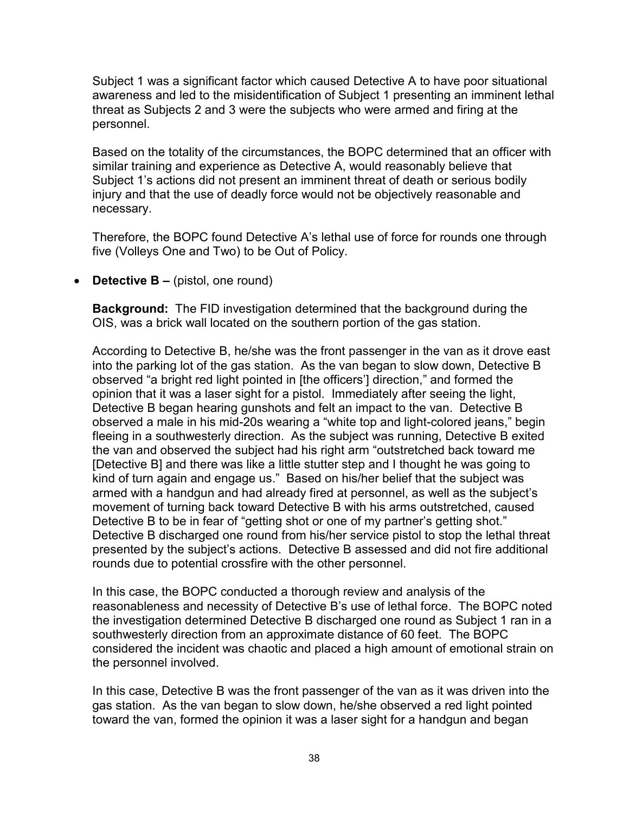Subject 1 was a significant factor which caused Detective A to have poor situational awareness and led to the misidentification of Subject 1 presenting an imminent lethal threat as Subjects 2 and 3 were the subjects who were armed and firing at the personnel.

Based on the totality of the circumstances, the BOPC determined that an officer with similar training and experience as Detective A, would reasonably believe that Subject 1's actions did not present an imminent threat of death or serious bodily injury and that the use of deadly force would not be objectively reasonable and necessary.

Therefore, the BOPC found Detective A's lethal use of force for rounds one through five (Volleys One and Two) to be Out of Policy.

• **Detective B –** (pistol, one round)

**Background:** The FID investigation determined that the background during the OIS, was a brick wall located on the southern portion of the gas station.

According to Detective B, he/she was the front passenger in the van as it drove east into the parking lot of the gas station. As the van began to slow down, Detective B observed "a bright red light pointed in [the officers'] direction," and formed the opinion that it was a laser sight for a pistol. Immediately after seeing the light, Detective B began hearing gunshots and felt an impact to the van. Detective B observed a male in his mid-20s wearing a "white top and light-colored jeans," begin fleeing in a southwesterly direction. As the subject was running, Detective B exited the van and observed the subject had his right arm "outstretched back toward me [Detective B] and there was like a little stutter step and I thought he was going to kind of turn again and engage us." Based on his/her belief that the subject was armed with a handgun and had already fired at personnel, as well as the subject's movement of turning back toward Detective B with his arms outstretched, caused Detective B to be in fear of "getting shot or one of my partner's getting shot." Detective B discharged one round from his/her service pistol to stop the lethal threat presented by the subject's actions. Detective B assessed and did not fire additional rounds due to potential crossfire with the other personnel.

In this case, the BOPC conducted a thorough review and analysis of the reasonableness and necessity of Detective B's use of lethal force. The BOPC noted the investigation determined Detective B discharged one round as Subject 1 ran in a southwesterly direction from an approximate distance of 60 feet. The BOPC considered the incident was chaotic and placed a high amount of emotional strain on the personnel involved.

In this case, Detective B was the front passenger of the van as it was driven into the gas station. As the van began to slow down, he/she observed a red light pointed toward the van, formed the opinion it was a laser sight for a handgun and began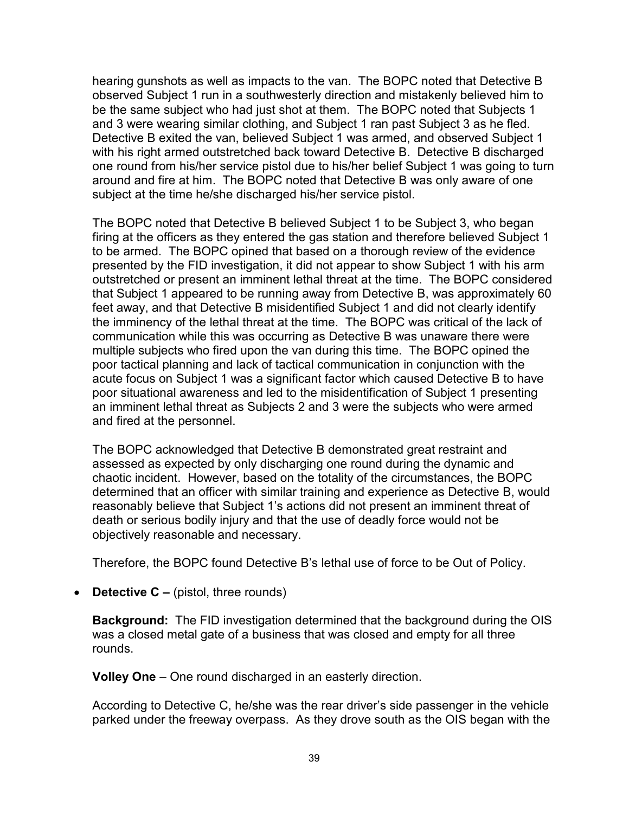hearing gunshots as well as impacts to the van. The BOPC noted that Detective B observed Subject 1 run in a southwesterly direction and mistakenly believed him to be the same subject who had just shot at them. The BOPC noted that Subjects 1 and 3 were wearing similar clothing, and Subject 1 ran past Subject 3 as he fled. Detective B exited the van, believed Subject 1 was armed, and observed Subject 1 with his right armed outstretched back toward Detective B. Detective B discharged one round from his/her service pistol due to his/her belief Subject 1 was going to turn around and fire at him. The BOPC noted that Detective B was only aware of one subject at the time he/she discharged his/her service pistol.

The BOPC noted that Detective B believed Subject 1 to be Subject 3, who began firing at the officers as they entered the gas station and therefore believed Subject 1 to be armed. The BOPC opined that based on a thorough review of the evidence presented by the FID investigation, it did not appear to show Subject 1 with his arm outstretched or present an imminent lethal threat at the time. The BOPC considered that Subject 1 appeared to be running away from Detective B, was approximately 60 feet away, and that Detective B misidentified Subject 1 and did not clearly identify the imminency of the lethal threat at the time. The BOPC was critical of the lack of communication while this was occurring as Detective B was unaware there were multiple subjects who fired upon the van during this time. The BOPC opined the poor tactical planning and lack of tactical communication in conjunction with the acute focus on Subject 1 was a significant factor which caused Detective B to have poor situational awareness and led to the misidentification of Subject 1 presenting an imminent lethal threat as Subjects 2 and 3 were the subjects who were armed and fired at the personnel.

The BOPC acknowledged that Detective B demonstrated great restraint and assessed as expected by only discharging one round during the dynamic and chaotic incident. However, based on the totality of the circumstances, the BOPC determined that an officer with similar training and experience as Detective B, would reasonably believe that Subject 1's actions did not present an imminent threat of death or serious bodily injury and that the use of deadly force would not be objectively reasonable and necessary.

Therefore, the BOPC found Detective B's lethal use of force to be Out of Policy.

• **Detective C –** (pistol, three rounds)

**Background:** The FID investigation determined that the background during the OIS was a closed metal gate of a business that was closed and empty for all three rounds.

**Volley One** – One round discharged in an easterly direction.

According to Detective C, he/she was the rear driver's side passenger in the vehicle parked under the freeway overpass. As they drove south as the OIS began with the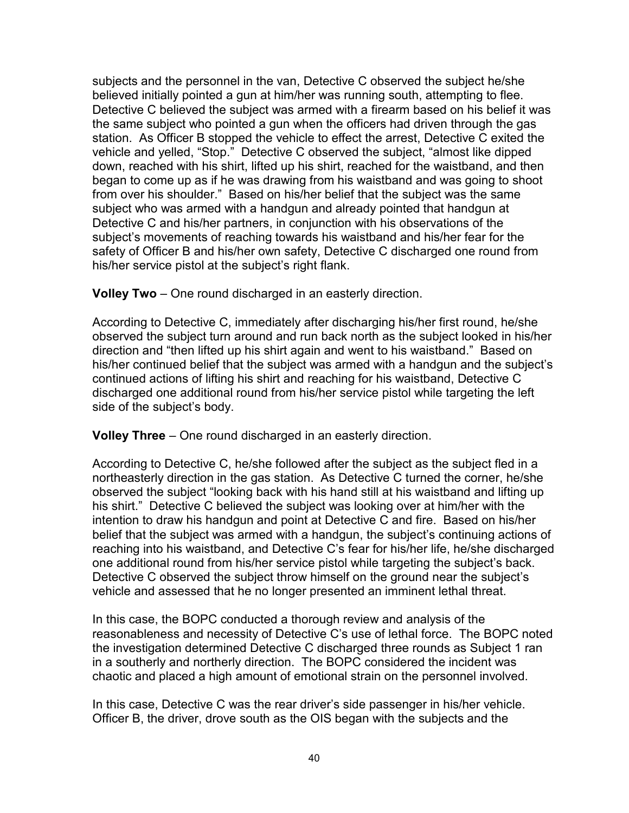subjects and the personnel in the van, Detective C observed the subject he/she believed initially pointed a gun at him/her was running south, attempting to flee. Detective C believed the subject was armed with a firearm based on his belief it was the same subject who pointed a gun when the officers had driven through the gas station. As Officer B stopped the vehicle to effect the arrest, Detective C exited the vehicle and yelled, "Stop." Detective C observed the subject, "almost like dipped down, reached with his shirt, lifted up his shirt, reached for the waistband, and then began to come up as if he was drawing from his waistband and was going to shoot from over his shoulder." Based on his/her belief that the subject was the same subject who was armed with a handgun and already pointed that handgun at Detective C and his/her partners, in conjunction with his observations of the subject's movements of reaching towards his waistband and his/her fear for the safety of Officer B and his/her own safety, Detective C discharged one round from his/her service pistol at the subject's right flank.

**Volley Two** – One round discharged in an easterly direction.

According to Detective C, immediately after discharging his/her first round, he/she observed the subject turn around and run back north as the subject looked in his/her direction and "then lifted up his shirt again and went to his waistband." Based on his/her continued belief that the subject was armed with a handgun and the subject's continued actions of lifting his shirt and reaching for his waistband, Detective C discharged one additional round from his/her service pistol while targeting the left side of the subject's body.

**Volley Three** – One round discharged in an easterly direction.

According to Detective C, he/she followed after the subject as the subject fled in a northeasterly direction in the gas station. As Detective C turned the corner, he/she observed the subject "looking back with his hand still at his waistband and lifting up his shirt." Detective C believed the subject was looking over at him/her with the intention to draw his handgun and point at Detective C and fire. Based on his/her belief that the subject was armed with a handgun, the subject's continuing actions of reaching into his waistband, and Detective C's fear for his/her life, he/she discharged one additional round from his/her service pistol while targeting the subject's back. Detective C observed the subject throw himself on the ground near the subject's vehicle and assessed that he no longer presented an imminent lethal threat.

In this case, the BOPC conducted a thorough review and analysis of the reasonableness and necessity of Detective C's use of lethal force. The BOPC noted the investigation determined Detective C discharged three rounds as Subject 1 ran in a southerly and northerly direction. The BOPC considered the incident was chaotic and placed a high amount of emotional strain on the personnel involved.

In this case, Detective C was the rear driver's side passenger in his/her vehicle. Officer B, the driver, drove south as the OIS began with the subjects and the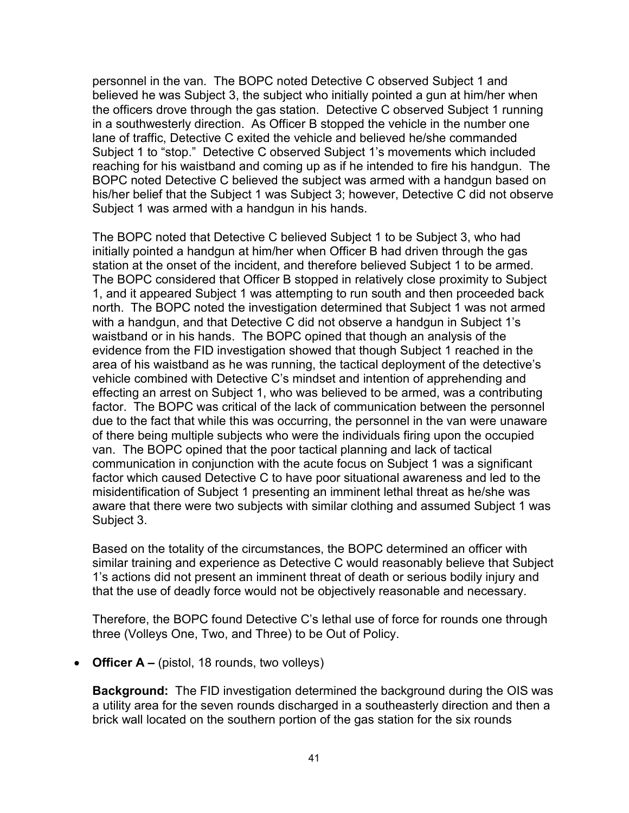personnel in the van. The BOPC noted Detective C observed Subject 1 and believed he was Subject 3, the subject who initially pointed a gun at him/her when the officers drove through the gas station. Detective C observed Subject 1 running in a southwesterly direction. As Officer B stopped the vehicle in the number one lane of traffic, Detective C exited the vehicle and believed he/she commanded Subject 1 to "stop." Detective C observed Subject 1's movements which included reaching for his waistband and coming up as if he intended to fire his handgun. The BOPC noted Detective C believed the subject was armed with a handgun based on his/her belief that the Subject 1 was Subject 3; however, Detective C did not observe Subject 1 was armed with a handgun in his hands.

The BOPC noted that Detective C believed Subject 1 to be Subject 3, who had initially pointed a handgun at him/her when Officer B had driven through the gas station at the onset of the incident, and therefore believed Subject 1 to be armed. The BOPC considered that Officer B stopped in relatively close proximity to Subject 1, and it appeared Subject 1 was attempting to run south and then proceeded back north. The BOPC noted the investigation determined that Subject 1 was not armed with a handgun, and that Detective C did not observe a handgun in Subject 1's waistband or in his hands. The BOPC opined that though an analysis of the evidence from the FID investigation showed that though Subject 1 reached in the area of his waistband as he was running, the tactical deployment of the detective's vehicle combined with Detective C's mindset and intention of apprehending and effecting an arrest on Subject 1, who was believed to be armed, was a contributing factor. The BOPC was critical of the lack of communication between the personnel due to the fact that while this was occurring, the personnel in the van were unaware of there being multiple subjects who were the individuals firing upon the occupied van. The BOPC opined that the poor tactical planning and lack of tactical communication in conjunction with the acute focus on Subject 1 was a significant factor which caused Detective C to have poor situational awareness and led to the misidentification of Subject 1 presenting an imminent lethal threat as he/she was aware that there were two subjects with similar clothing and assumed Subject 1 was Subject 3.

Based on the totality of the circumstances, the BOPC determined an officer with similar training and experience as Detective C would reasonably believe that Subject 1's actions did not present an imminent threat of death or serious bodily injury and that the use of deadly force would not be objectively reasonable and necessary.

Therefore, the BOPC found Detective C's lethal use of force for rounds one through three (Volleys One, Two, and Three) to be Out of Policy.

• **Officer A –** (pistol, 18 rounds, two volleys)

**Background:** The FID investigation determined the background during the OIS was a utility area for the seven rounds discharged in a southeasterly direction and then a brick wall located on the southern portion of the gas station for the six rounds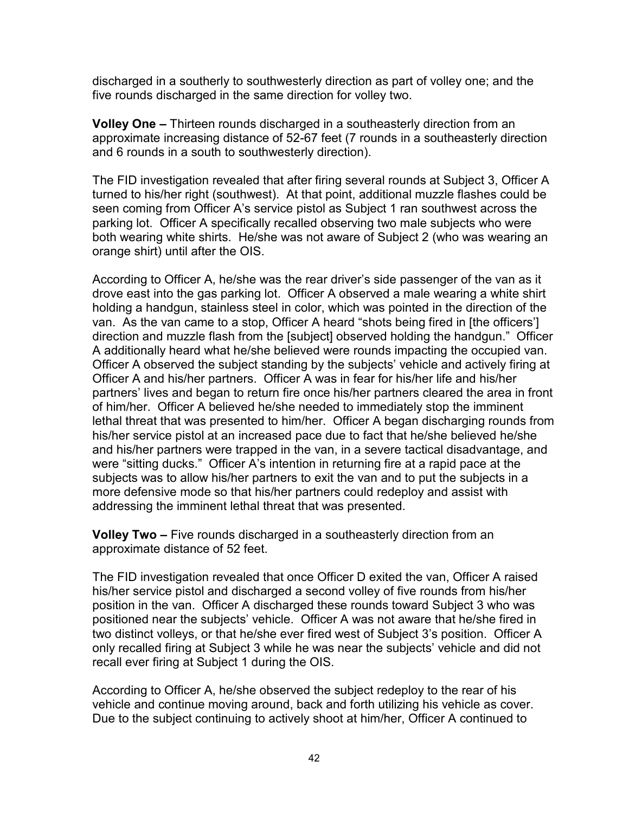discharged in a southerly to southwesterly direction as part of volley one; and the five rounds discharged in the same direction for volley two.

**Volley One –** Thirteen rounds discharged in a southeasterly direction from an approximate increasing distance of 52-67 feet (7 rounds in a southeasterly direction and 6 rounds in a south to southwesterly direction).

The FID investigation revealed that after firing several rounds at Subject 3, Officer A turned to his/her right (southwest). At that point, additional muzzle flashes could be seen coming from Officer A's service pistol as Subject 1 ran southwest across the parking lot. Officer A specifically recalled observing two male subjects who were both wearing white shirts. He/she was not aware of Subject 2 (who was wearing an orange shirt) until after the OIS.

According to Officer A, he/she was the rear driver's side passenger of the van as it drove east into the gas parking lot. Officer A observed a male wearing a white shirt holding a handgun, stainless steel in color, which was pointed in the direction of the van. As the van came to a stop, Officer A heard "shots being fired in [the officers'] direction and muzzle flash from the [subject] observed holding the handgun." Officer A additionally heard what he/she believed were rounds impacting the occupied van. Officer A observed the subject standing by the subjects' vehicle and actively firing at Officer A and his/her partners. Officer A was in fear for his/her life and his/her partners' lives and began to return fire once his/her partners cleared the area in front of him/her. Officer A believed he/she needed to immediately stop the imminent lethal threat that was presented to him/her. Officer A began discharging rounds from his/her service pistol at an increased pace due to fact that he/she believed he/she and his/her partners were trapped in the van, in a severe tactical disadvantage, and were "sitting ducks." Officer A's intention in returning fire at a rapid pace at the subjects was to allow his/her partners to exit the van and to put the subjects in a more defensive mode so that his/her partners could redeploy and assist with addressing the imminent lethal threat that was presented.

**Volley Two –** Five rounds discharged in a southeasterly direction from an approximate distance of 52 feet.

The FID investigation revealed that once Officer D exited the van, Officer A raised his/her service pistol and discharged a second volley of five rounds from his/her position in the van. Officer A discharged these rounds toward Subject 3 who was positioned near the subjects' vehicle. Officer A was not aware that he/she fired in two distinct volleys, or that he/she ever fired west of Subject 3's position. Officer A only recalled firing at Subject 3 while he was near the subjects' vehicle and did not recall ever firing at Subject 1 during the OIS.

According to Officer A, he/she observed the subject redeploy to the rear of his vehicle and continue moving around, back and forth utilizing his vehicle as cover. Due to the subject continuing to actively shoot at him/her, Officer A continued to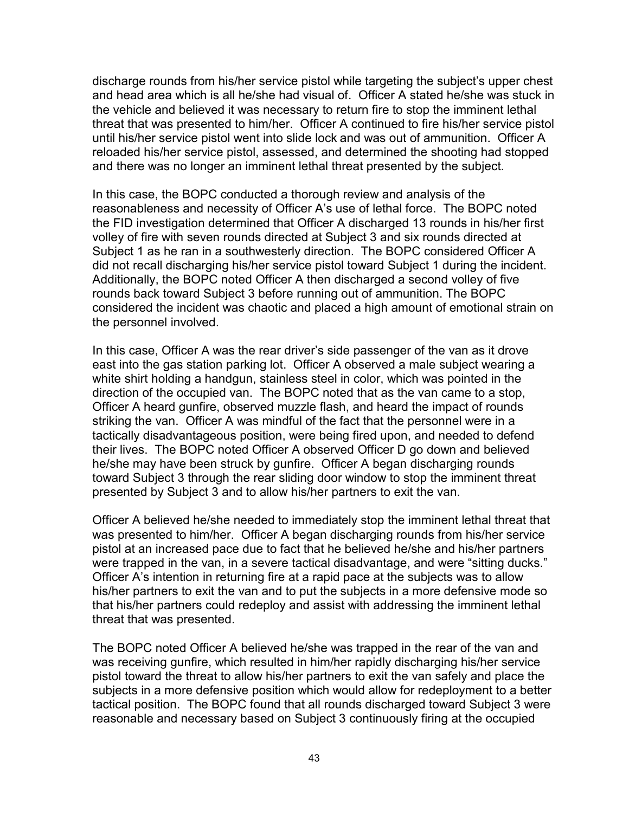discharge rounds from his/her service pistol while targeting the subject's upper chest and head area which is all he/she had visual of. Officer A stated he/she was stuck in the vehicle and believed it was necessary to return fire to stop the imminent lethal threat that was presented to him/her. Officer A continued to fire his/her service pistol until his/her service pistol went into slide lock and was out of ammunition. Officer A reloaded his/her service pistol, assessed, and determined the shooting had stopped and there was no longer an imminent lethal threat presented by the subject.

In this case, the BOPC conducted a thorough review and analysis of the reasonableness and necessity of Officer A's use of lethal force. The BOPC noted the FID investigation determined that Officer A discharged 13 rounds in his/her first volley of fire with seven rounds directed at Subject 3 and six rounds directed at Subject 1 as he ran in a southwesterly direction. The BOPC considered Officer A did not recall discharging his/her service pistol toward Subject 1 during the incident. Additionally, the BOPC noted Officer A then discharged a second volley of five rounds back toward Subject 3 before running out of ammunition. The BOPC considered the incident was chaotic and placed a high amount of emotional strain on the personnel involved.

In this case, Officer A was the rear driver's side passenger of the van as it drove east into the gas station parking lot. Officer A observed a male subject wearing a white shirt holding a handgun, stainless steel in color, which was pointed in the direction of the occupied van. The BOPC noted that as the van came to a stop, Officer A heard gunfire, observed muzzle flash, and heard the impact of rounds striking the van. Officer A was mindful of the fact that the personnel were in a tactically disadvantageous position, were being fired upon, and needed to defend their lives. The BOPC noted Officer A observed Officer D go down and believed he/she may have been struck by gunfire. Officer A began discharging rounds toward Subject 3 through the rear sliding door window to stop the imminent threat presented by Subject 3 and to allow his/her partners to exit the van.

Officer A believed he/she needed to immediately stop the imminent lethal threat that was presented to him/her. Officer A began discharging rounds from his/her service pistol at an increased pace due to fact that he believed he/she and his/her partners were trapped in the van, in a severe tactical disadvantage, and were "sitting ducks." Officer A's intention in returning fire at a rapid pace at the subjects was to allow his/her partners to exit the van and to put the subjects in a more defensive mode so that his/her partners could redeploy and assist with addressing the imminent lethal threat that was presented.

The BOPC noted Officer A believed he/she was trapped in the rear of the van and was receiving gunfire, which resulted in him/her rapidly discharging his/her service pistol toward the threat to allow his/her partners to exit the van safely and place the subjects in a more defensive position which would allow for redeployment to a better tactical position. The BOPC found that all rounds discharged toward Subject 3 were reasonable and necessary based on Subject 3 continuously firing at the occupied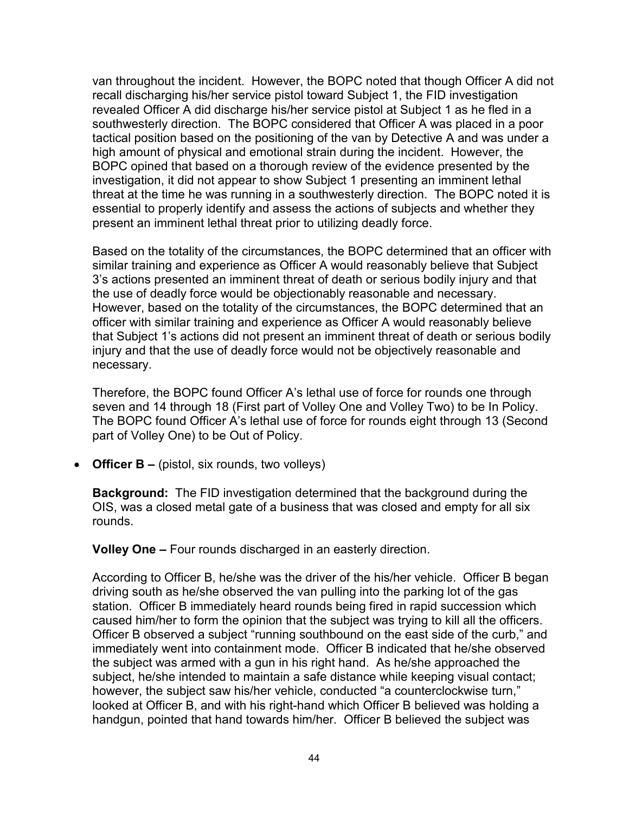van throughout the incident. However, the BOPC noted that though Officer A did not recall discharging his/her service pistol toward Subject 1, the FID investigation revealed Officer A did discharge his/her service pistol at Subject 1 as he fled in a southwesterly direction. The BOPC considered that Officer A was placed in a poor tactical position based on the positioning of the van by Detective A and was under a high amount of physical and emotional strain during the incident. However, the BOPC opined that based on a thorough review of the evidence presented by the investigation, it did not appear to show Subject 1 presenting an imminent lethal threat at the time he was running in a southwesterly direction. The BOPC noted it is essential to properly identify and assess the actions of subjects and whether they present an imminent lethal threat prior to utilizing deadly force.

Based on the totality of the circumstances, the BOPC determined that an officer with similar training and experience as Officer A would reasonably believe that Subject 3's actions presented an imminent threat of death or serious bodily injury and that the use of deadly force would be objectionably reasonable and necessary. However, based on the totality of the circumstances, the BOPC determined that an officer with similar training and experience as Officer A would reasonably believe that Subject 1's actions did not present an imminent threat of death or serious bodily injury and that the use of deadly force would not be objectively reasonable and necessary.

Therefore, the BOPC found Officer A's lethal use of force for rounds one through seven and 14 through 18 (First part of Volley One and Volley Two) to be In Policy. The BOPC found Officer A's lethal use of force for rounds eight through 13 (Second part of Volley One) to be Out of Policy.

• **Officer B –** (pistol, six rounds, two volleys)

**Background:** The FID investigation determined that the background during the OIS, was a closed metal gate of a business that was closed and empty for all six rounds.

**Volley One –** Four rounds discharged in an easterly direction.

According to Officer B, he/she was the driver of the his/her vehicle. Officer B began driving south as he/she observed the van pulling into the parking lot of the gas station. Officer B immediately heard rounds being fired in rapid succession which caused him/her to form the opinion that the subject was trying to kill all the officers. Officer B observed a subject "running southbound on the east side of the curb," and immediately went into containment mode. Officer B indicated that he/she observed the subject was armed with a gun in his right hand. As he/she approached the subject, he/she intended to maintain a safe distance while keeping visual contact; however, the subject saw his/her vehicle, conducted "a counterclockwise turn," looked at Officer B, and with his right-hand which Officer B believed was holding a handgun, pointed that hand towards him/her. Officer B believed the subject was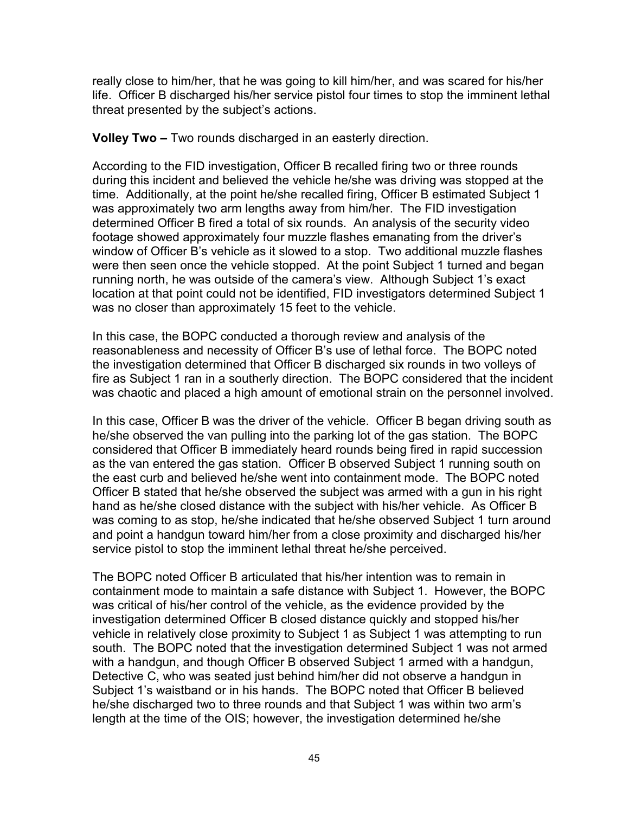really close to him/her, that he was going to kill him/her, and was scared for his/her life. Officer B discharged his/her service pistol four times to stop the imminent lethal threat presented by the subject's actions.

**Volley Two –** Two rounds discharged in an easterly direction.

According to the FID investigation, Officer B recalled firing two or three rounds during this incident and believed the vehicle he/she was driving was stopped at the time. Additionally, at the point he/she recalled firing, Officer B estimated Subject 1 was approximately two arm lengths away from him/her. The FID investigation determined Officer B fired a total of six rounds. An analysis of the security video footage showed approximately four muzzle flashes emanating from the driver's window of Officer B's vehicle as it slowed to a stop. Two additional muzzle flashes were then seen once the vehicle stopped. At the point Subject 1 turned and began running north, he was outside of the camera's view. Although Subject 1's exact location at that point could not be identified, FID investigators determined Subject 1 was no closer than approximately 15 feet to the vehicle.

In this case, the BOPC conducted a thorough review and analysis of the reasonableness and necessity of Officer B's use of lethal force. The BOPC noted the investigation determined that Officer B discharged six rounds in two volleys of fire as Subject 1 ran in a southerly direction. The BOPC considered that the incident was chaotic and placed a high amount of emotional strain on the personnel involved.

In this case, Officer B was the driver of the vehicle. Officer B began driving south as he/she observed the van pulling into the parking lot of the gas station. The BOPC considered that Officer B immediately heard rounds being fired in rapid succession as the van entered the gas station. Officer B observed Subject 1 running south on the east curb and believed he/she went into containment mode. The BOPC noted Officer B stated that he/she observed the subject was armed with a gun in his right hand as he/she closed distance with the subject with his/her vehicle. As Officer B was coming to as stop, he/she indicated that he/she observed Subject 1 turn around and point a handgun toward him/her from a close proximity and discharged his/her service pistol to stop the imminent lethal threat he/she perceived.

The BOPC noted Officer B articulated that his/her intention was to remain in containment mode to maintain a safe distance with Subject 1. However, the BOPC was critical of his/her control of the vehicle, as the evidence provided by the investigation determined Officer B closed distance quickly and stopped his/her vehicle in relatively close proximity to Subject 1 as Subject 1 was attempting to run south. The BOPC noted that the investigation determined Subject 1 was not armed with a handgun, and though Officer B observed Subject 1 armed with a handgun, Detective C, who was seated just behind him/her did not observe a handgun in Subject 1's waistband or in his hands. The BOPC noted that Officer B believed he/she discharged two to three rounds and that Subject 1 was within two arm's length at the time of the OIS; however, the investigation determined he/she